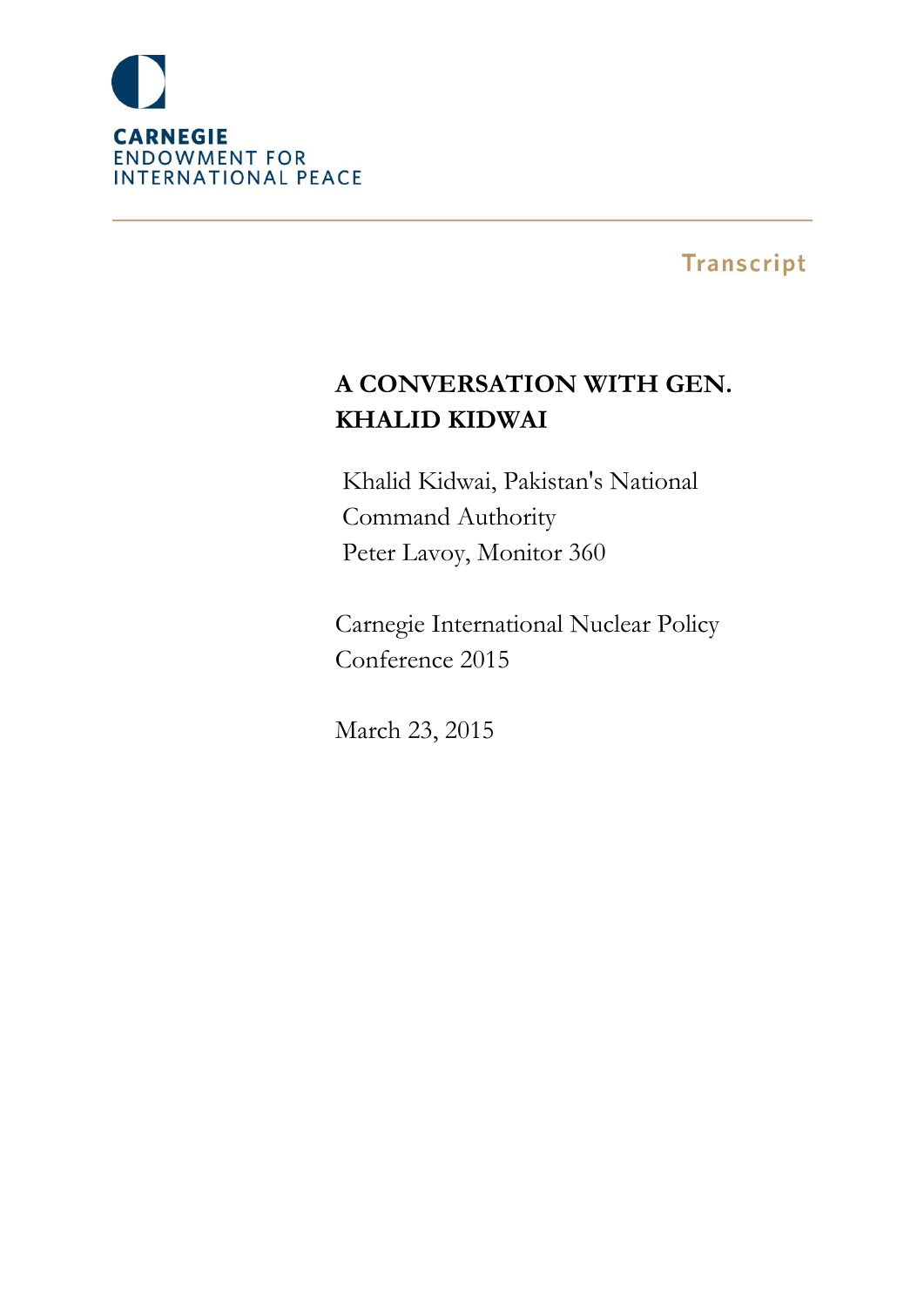

**Transcript** 

# **A CONVERSATION WITH GEN. KHALID KIDWAI**

Khalid Kidwai, Pakistan's National Command Authority Peter Lavoy, Monitor 360

Carnegie International Nuclear Policy Conference 2015

March 23, 2015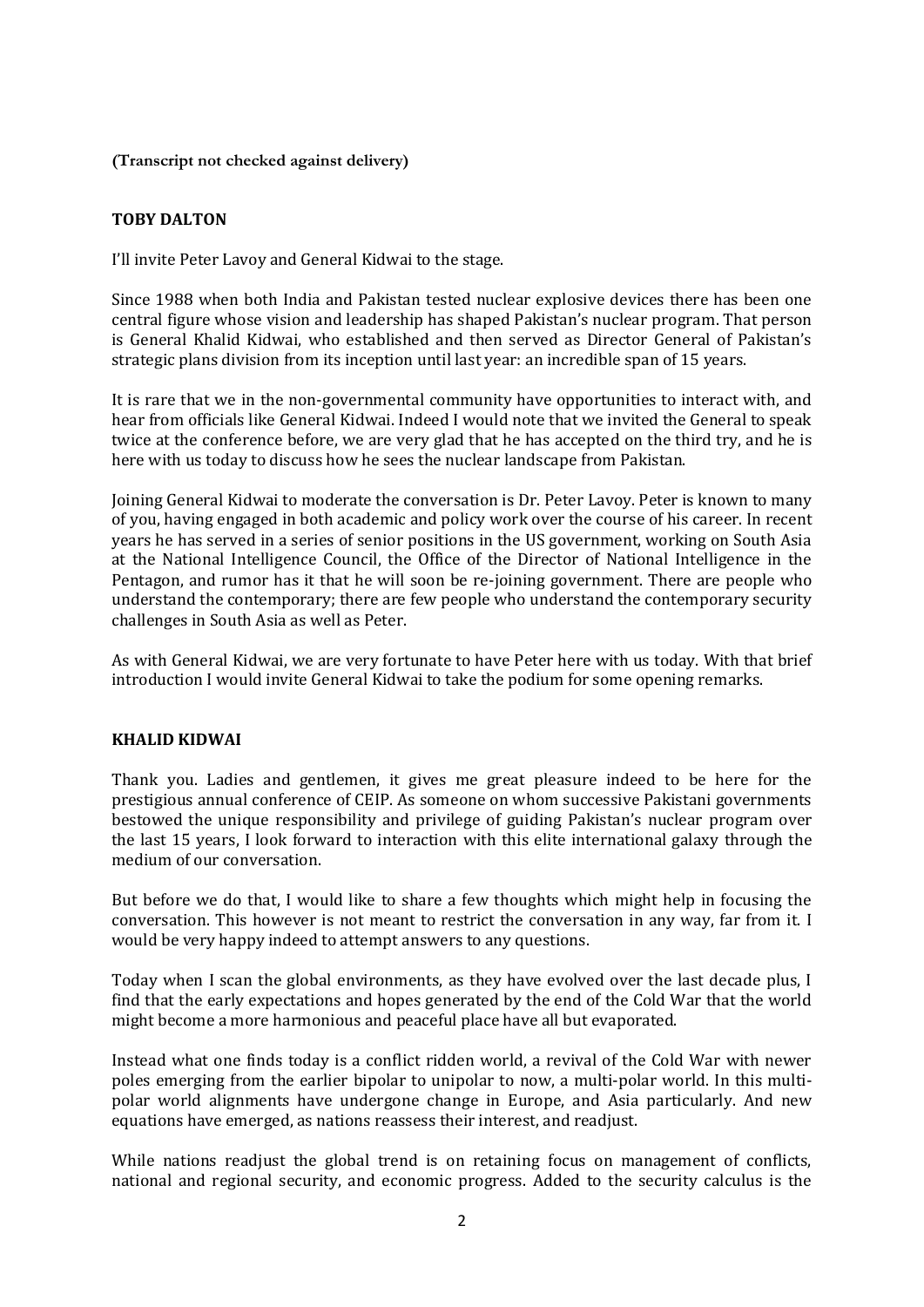**(Transcript not checked against delivery)**

# **TOBY DALTON**

I'll invite Peter Lavoy and General Kidwai to the stage.

Since 1988 when both India and Pakistan tested nuclear explosive devices there has been one central figure whose vision and leadership has shaped Pakistan's nuclear program. That person is General Khalid Kidwai, who established and then served as Director General of Pakistan's strategic plans division from its inception until last year: an incredible span of 15 years.

It is rare that we in the non-governmental community have opportunities to interact with, and hear from officials like General Kidwai. Indeed I would note that we invited the General to speak twice at the conference before, we are very glad that he has accepted on the third try, and he is here with us today to discuss how he sees the nuclear landscape from Pakistan.

Joining General Kidwai to moderate the conversation is Dr. Peter Lavoy. Peter is known to many of you, having engaged in both academic and policy work over the course of his career. In recent years he has served in a series of senior positions in the US government, working on South Asia at the National Intelligence Council, the Office of the Director of National Intelligence in the Pentagon, and rumor has it that he will soon be re-joining government. There are people who understand the contemporary; there are few people who understand the contemporary security challenges in South Asia as well as Peter.

As with General Kidwai, we are very fortunate to have Peter here with us today. With that brief introduction I would invite General Kidwai to take the podium for some opening remarks.

# **KHALID KIDWAI**

Thank you. Ladies and gentlemen, it gives me great pleasure indeed to be here for the prestigious annual conference of CEIP. As someone on whom successive Pakistani governments bestowed the unique responsibility and privilege of guiding Pakistan's nuclear program over the last 15 years, I look forward to interaction with this elite international galaxy through the medium of our conversation.

But before we do that, I would like to share a few thoughts which might help in focusing the conversation. This however is not meant to restrict the conversation in any way, far from it. I would be very happy indeed to attempt answers to any questions.

Today when I scan the global environments, as they have evolved over the last decade plus, I find that the early expectations and hopes generated by the end of the Cold War that the world might become a more harmonious and peaceful place have all but evaporated.

Instead what one finds today is a conflict ridden world, a revival of the Cold War with newer poles emerging from the earlier bipolar to unipolar to now, a multi-polar world. In this multipolar world alignments have undergone change in Europe, and Asia particularly. And new equations have emerged, as nations reassess their interest, and readjust.

While nations readjust the global trend is on retaining focus on management of conflicts, national and regional security, and economic progress. Added to the security calculus is the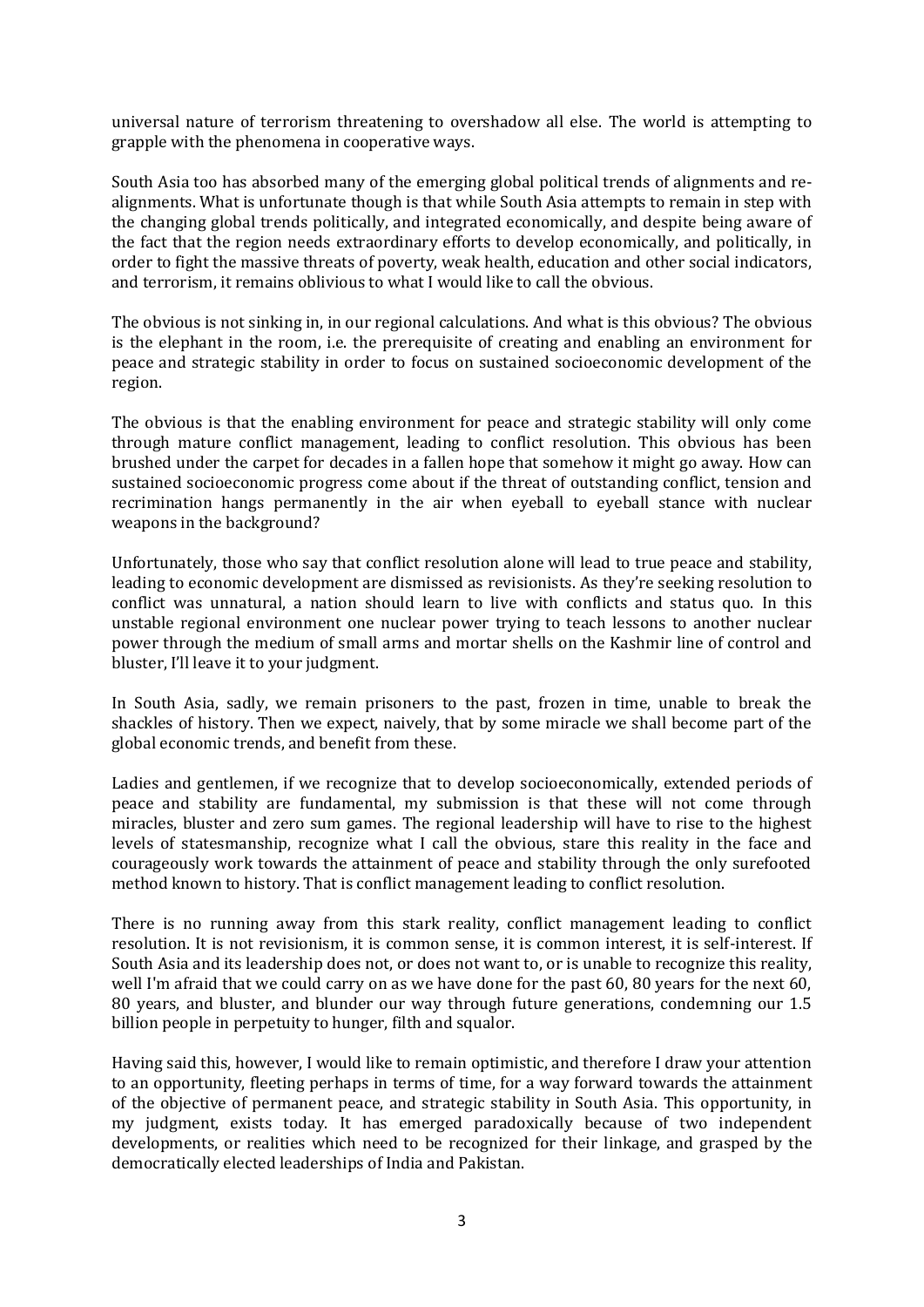universal nature of terrorism threatening to overshadow all else. The world is attempting to grapple with the phenomena in cooperative ways.

South Asia too has absorbed many of the emerging global political trends of alignments and realignments. What is unfortunate though is that while South Asia attempts to remain in step with the changing global trends politically, and integrated economically, and despite being aware of the fact that the region needs extraordinary efforts to develop economically, and politically, in order to fight the massive threats of poverty, weak health, education and other social indicators, and terrorism, it remains oblivious to what I would like to call the obvious.

The obvious is not sinking in, in our regional calculations. And what is this obvious? The obvious is the elephant in the room, i.e. the prerequisite of creating and enabling an environment for peace and strategic stability in order to focus on sustained socioeconomic development of the region.

The obvious is that the enabling environment for peace and strategic stability will only come through mature conflict management, leading to conflict resolution. This obvious has been brushed under the carpet for decades in a fallen hope that somehow it might go away. How can sustained socioeconomic progress come about if the threat of outstanding conflict, tension and recrimination hangs permanently in the air when eyeball to eyeball stance with nuclear weapons in the background?

Unfortunately, those who say that conflict resolution alone will lead to true peace and stability, leading to economic development are dismissed as revisionists. As they're seeking resolution to conflict was unnatural, a nation should learn to live with conflicts and status quo. In this unstable regional environment one nuclear power trying to teach lessons to another nuclear power through the medium of small arms and mortar shells on the Kashmir line of control and bluster, I'll leave it to your judgment.

In South Asia, sadly, we remain prisoners to the past, frozen in time, unable to break the shackles of history. Then we expect, naively, that by some miracle we shall become part of the global economic trends, and benefit from these.

Ladies and gentlemen, if we recognize that to develop socioeconomically, extended periods of peace and stability are fundamental, my submission is that these will not come through miracles, bluster and zero sum games. The regional leadership will have to rise to the highest levels of statesmanship, recognize what I call the obvious, stare this reality in the face and courageously work towards the attainment of peace and stability through the only surefooted method known to history. That is conflict management leading to conflict resolution.

There is no running away from this stark reality, conflict management leading to conflict resolution. It is not revisionism, it is common sense, it is common interest, it is self-interest. If South Asia and its leadership does not, or does not want to, or is unable to recognize this reality, well I'm afraid that we could carry on as we have done for the past 60, 80 years for the next 60, 80 years, and bluster, and blunder our way through future generations, condemning our 1.5 billion people in perpetuity to hunger, filth and squalor.

Having said this, however, I would like to remain optimistic, and therefore I draw your attention to an opportunity, fleeting perhaps in terms of time, for a way forward towards the attainment of the objective of permanent peace, and strategic stability in South Asia. This opportunity, in my judgment, exists today. It has emerged paradoxically because of two independent developments, or realities which need to be recognized for their linkage, and grasped by the democratically elected leaderships of India and Pakistan.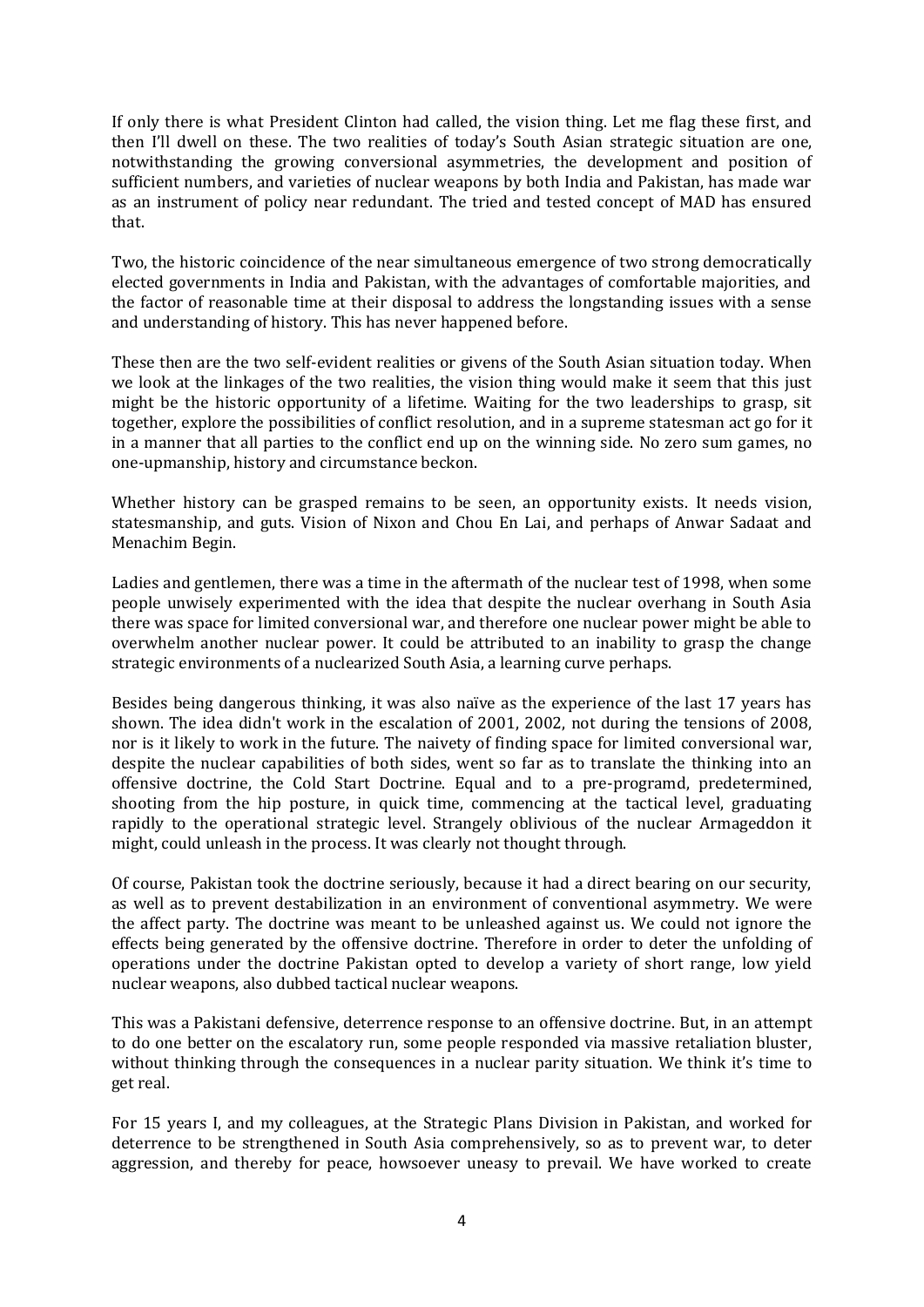If only there is what President Clinton had called, the vision thing. Let me flag these first, and then I'll dwell on these. The two realities of today's South Asian strategic situation are one, notwithstanding the growing conversional asymmetries, the development and position of sufficient numbers, and varieties of nuclear weapons by both India and Pakistan, has made war as an instrument of policy near redundant. The tried and tested concept of MAD has ensured that.

Two, the historic coincidence of the near simultaneous emergence of two strong democratically elected governments in India and Pakistan, with the advantages of comfortable majorities, and the factor of reasonable time at their disposal to address the longstanding issues with a sense and understanding of history. This has never happened before.

These then are the two self-evident realities or givens of the South Asian situation today. When we look at the linkages of the two realities, the vision thing would make it seem that this just might be the historic opportunity of a lifetime. Waiting for the two leaderships to grasp, sit together, explore the possibilities of conflict resolution, and in a supreme statesman act go for it in a manner that all parties to the conflict end up on the winning side. No zero sum games, no one-upmanship, history and circumstance beckon.

Whether history can be grasped remains to be seen, an opportunity exists. It needs vision, statesmanship, and guts. Vision of Nixon and Chou En Lai, and perhaps of Anwar Sadaat and Menachim Begin.

Ladies and gentlemen, there was a time in the aftermath of the nuclear test of 1998, when some people unwisely experimented with the idea that despite the nuclear overhang in South Asia there was space for limited conversional war, and therefore one nuclear power might be able to overwhelm another nuclear power. It could be attributed to an inability to grasp the change strategic environments of a nuclearized South Asia, a learning curve perhaps.

Besides being dangerous thinking, it was also naïve as the experience of the last 17 years has shown. The idea didn't work in the escalation of 2001, 2002, not during the tensions of 2008, nor is it likely to work in the future. The naivety of finding space for limited conversional war, despite the nuclear capabilities of both sides, went so far as to translate the thinking into an offensive doctrine, the Cold Start Doctrine. Equal and to a pre-programd, predetermined, shooting from the hip posture, in quick time, commencing at the tactical level, graduating rapidly to the operational strategic level. Strangely oblivious of the nuclear Armageddon it might, could unleash in the process. It was clearly not thought through.

Of course, Pakistan took the doctrine seriously, because it had a direct bearing on our security, as well as to prevent destabilization in an environment of conventional asymmetry. We were the affect party. The doctrine was meant to be unleashed against us. We could not ignore the effects being generated by the offensive doctrine. Therefore in order to deter the unfolding of operations under the doctrine Pakistan opted to develop a variety of short range, low yield nuclear weapons, also dubbed tactical nuclear weapons.

This was a Pakistani defensive, deterrence response to an offensive doctrine. But, in an attempt to do one better on the escalatory run, some people responded via massive retaliation bluster, without thinking through the consequences in a nuclear parity situation. We think it's time to get real.

For 15 years I, and my colleagues, at the Strategic Plans Division in Pakistan, and worked for deterrence to be strengthened in South Asia comprehensively, so as to prevent war, to deter aggression, and thereby for peace, howsoever uneasy to prevail. We have worked to create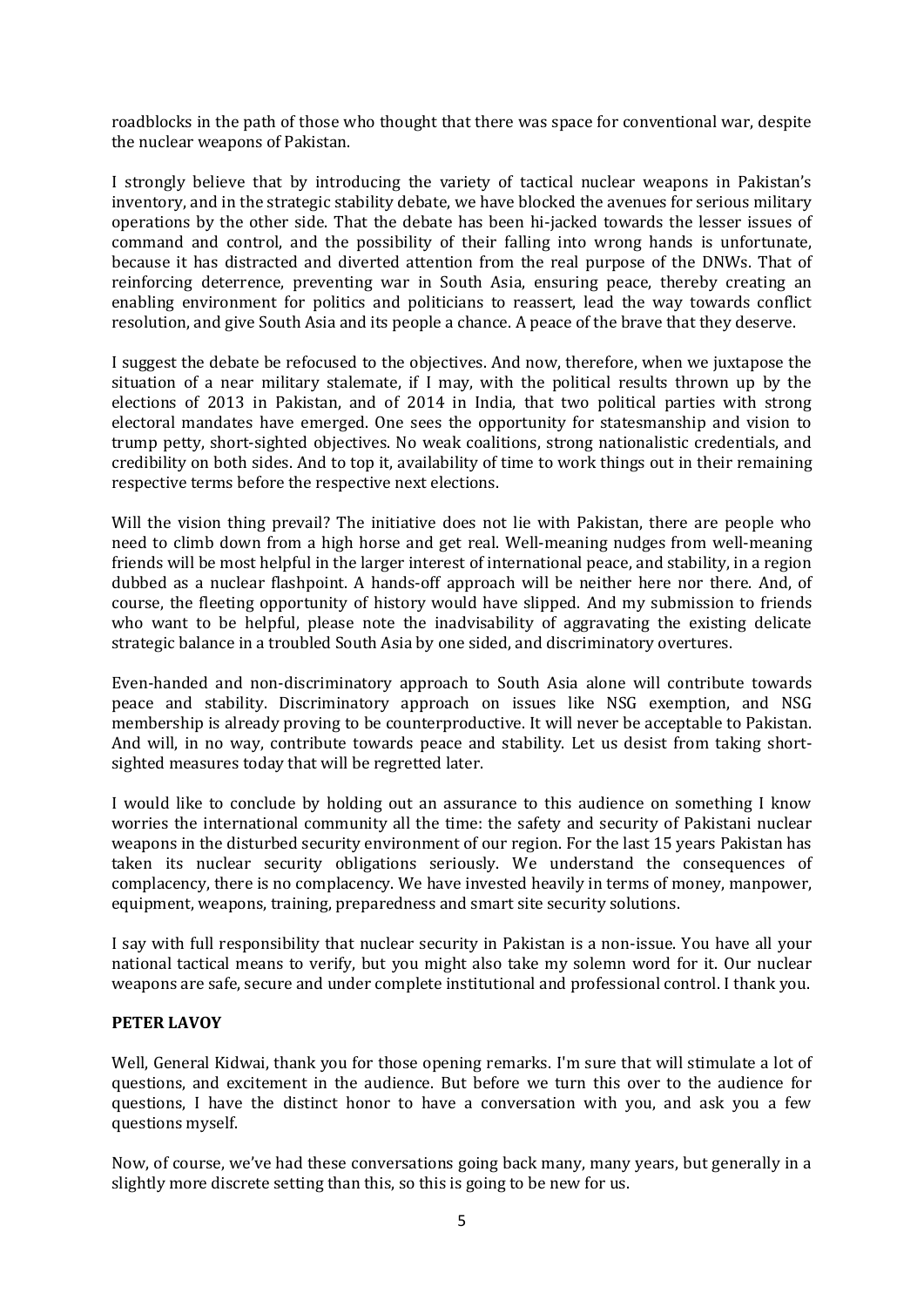roadblocks in the path of those who thought that there was space for conventional war, despite the nuclear weapons of Pakistan.

I strongly believe that by introducing the variety of tactical nuclear weapons in Pakistan's inventory, and in the strategic stability debate, we have blocked the avenues for serious military operations by the other side. That the debate has been hi-jacked towards the lesser issues of command and control, and the possibility of their falling into wrong hands is unfortunate, because it has distracted and diverted attention from the real purpose of the DNWs. That of reinforcing deterrence, preventing war in South Asia, ensuring peace, thereby creating an enabling environment for politics and politicians to reassert, lead the way towards conflict resolution, and give South Asia and its people a chance. A peace of the brave that they deserve.

I suggest the debate be refocused to the objectives. And now, therefore, when we juxtapose the situation of a near military stalemate, if I may, with the political results thrown up by the elections of 2013 in Pakistan, and of 2014 in India, that two political parties with strong electoral mandates have emerged. One sees the opportunity for statesmanship and vision to trump petty, short-sighted objectives. No weak coalitions, strong nationalistic credentials, and credibility on both sides. And to top it, availability of time to work things out in their remaining respective terms before the respective next elections.

Will the vision thing prevail? The initiative does not lie with Pakistan, there are people who need to climb down from a high horse and get real. Well-meaning nudges from well-meaning friends will be most helpful in the larger interest of international peace, and stability, in a region dubbed as a nuclear flashpoint. A hands-off approach will be neither here nor there. And, of course, the fleeting opportunity of history would have slipped. And my submission to friends who want to be helpful, please note the inadvisability of aggravating the existing delicate strategic balance in a troubled South Asia by one sided, and discriminatory overtures.

Even-handed and non-discriminatory approach to South Asia alone will contribute towards peace and stability. Discriminatory approach on issues like NSG exemption, and NSG membership is already proving to be counterproductive. It will never be acceptable to Pakistan. And will, in no way, contribute towards peace and stability. Let us desist from taking shortsighted measures today that will be regretted later.

I would like to conclude by holding out an assurance to this audience on something I know worries the international community all the time: the safety and security of Pakistani nuclear weapons in the disturbed security environment of our region. For the last 15 years Pakistan has taken its nuclear security obligations seriously. We understand the consequences of complacency, there is no complacency. We have invested heavily in terms of money, manpower, equipment, weapons, training, preparedness and smart site security solutions.

I say with full responsibility that nuclear security in Pakistan is a non-issue. You have all your national tactical means to verify, but you might also take my solemn word for it. Our nuclear weapons are safe, secure and under complete institutional and professional control. I thank you.

#### **PETER LAVOY**

Well, General Kidwai, thank you for those opening remarks. I'm sure that will stimulate a lot of questions, and excitement in the audience. But before we turn this over to the audience for questions, I have the distinct honor to have a conversation with you, and ask you a few questions myself.

Now, of course, we've had these conversations going back many, many years, but generally in a slightly more discrete setting than this, so this is going to be new for us.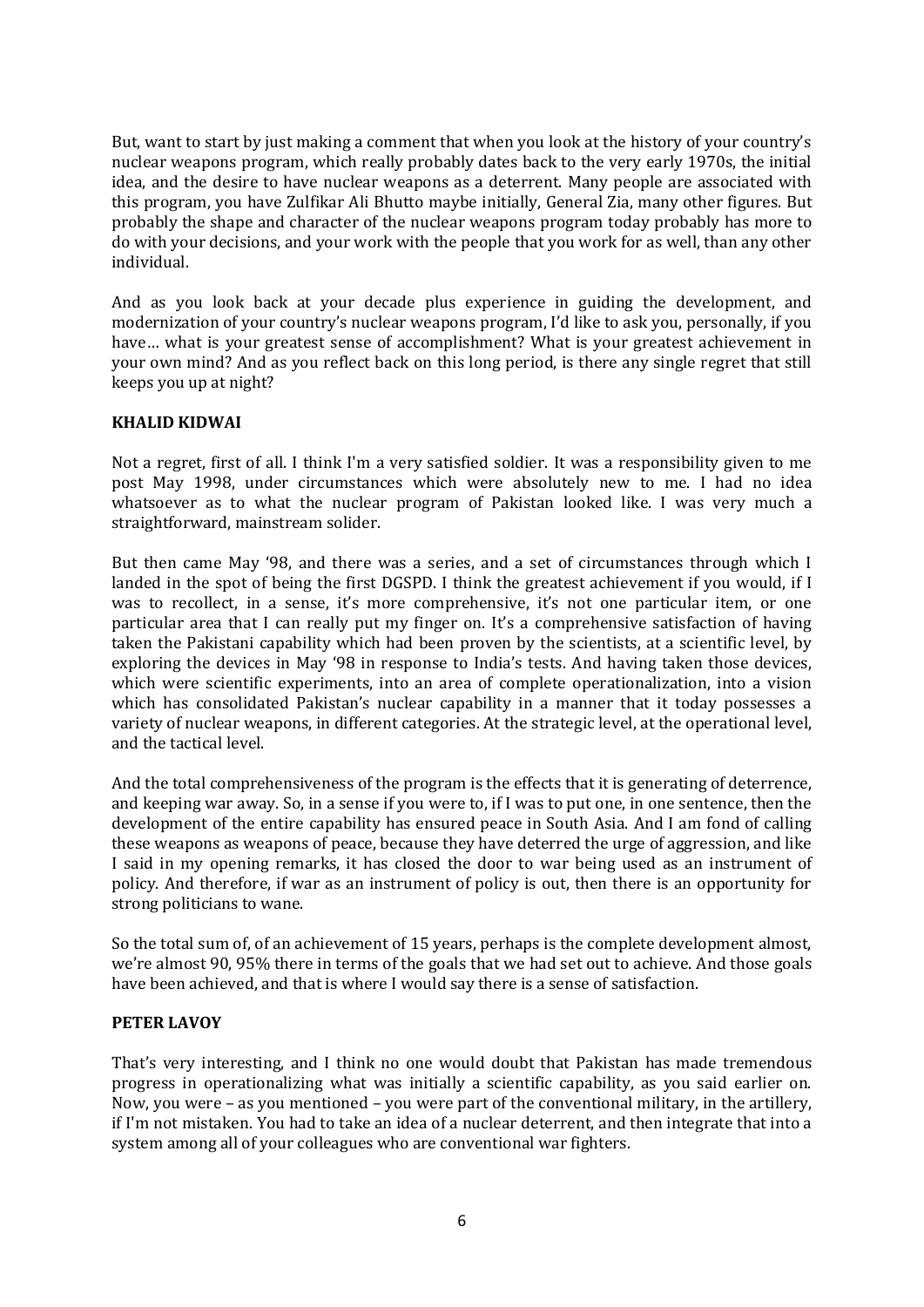But, want to start by just making a comment that when you look at the history of your country's nuclear weapons program, which really probably dates back to the very early 1970s, the initial idea, and the desire to have nuclear weapons as a deterrent. Many people are associated with this program, you have Zulfikar Ali Bhutto maybe initially, General Zia, many other figures. But probably the shape and character of the nuclear weapons program today probably has more to do with your decisions, and your work with the people that you work for as well, than any other individual.

And as you look back at your decade plus experience in guiding the development, and modernization of your country's nuclear weapons program, I'd like to ask you, personally, if you have… what is your greatest sense of accomplishment? What is your greatest achievement in your own mind? And as you reflect back on this long period, is there any single regret that still keeps you up at night?

# **KHALID KIDWAI**

Not a regret, first of all. I think I'm a very satisfied soldier. It was a responsibility given to me post May 1998, under circumstances which were absolutely new to me. I had no idea whatsoever as to what the nuclear program of Pakistan looked like. I was very much a straightforward, mainstream solider.

But then came May '98, and there was a series, and a set of circumstances through which I landed in the spot of being the first DGSPD. I think the greatest achievement if you would, if I was to recollect, in a sense, it's more comprehensive, it's not one particular item, or one particular area that I can really put my finger on. It's a comprehensive satisfaction of having taken the Pakistani capability which had been proven by the scientists, at a scientific level, by exploring the devices in May '98 in response to India's tests. And having taken those devices, which were scientific experiments, into an area of complete operationalization, into a vision which has consolidated Pakistan's nuclear capability in a manner that it today possesses a variety of nuclear weapons, in different categories. At the strategic level, at the operational level, and the tactical level.

And the total comprehensiveness of the program is the effects that it is generating of deterrence, and keeping war away. So, in a sense if you were to, if I was to put one, in one sentence, then the development of the entire capability has ensured peace in South Asia. And I am fond of calling these weapons as weapons of peace, because they have deterred the urge of aggression, and like I said in my opening remarks, it has closed the door to war being used as an instrument of policy. And therefore, if war as an instrument of policy is out, then there is an opportunity for strong politicians to wane.

So the total sum of, of an achievement of 15 years, perhaps is the complete development almost, we're almost 90, 95% there in terms of the goals that we had set out to achieve. And those goals have been achieved, and that is where I would say there is a sense of satisfaction.

#### **PETER LAVOY**

That's very interesting, and I think no one would doubt that Pakistan has made tremendous progress in operationalizing what was initially a scientific capability, as you said earlier on. Now, you were – as you mentioned – you were part of the conventional military, in the artillery, if I'm not mistaken. You had to take an idea of a nuclear deterrent, and then integrate that into a system among all of your colleagues who are conventional war fighters.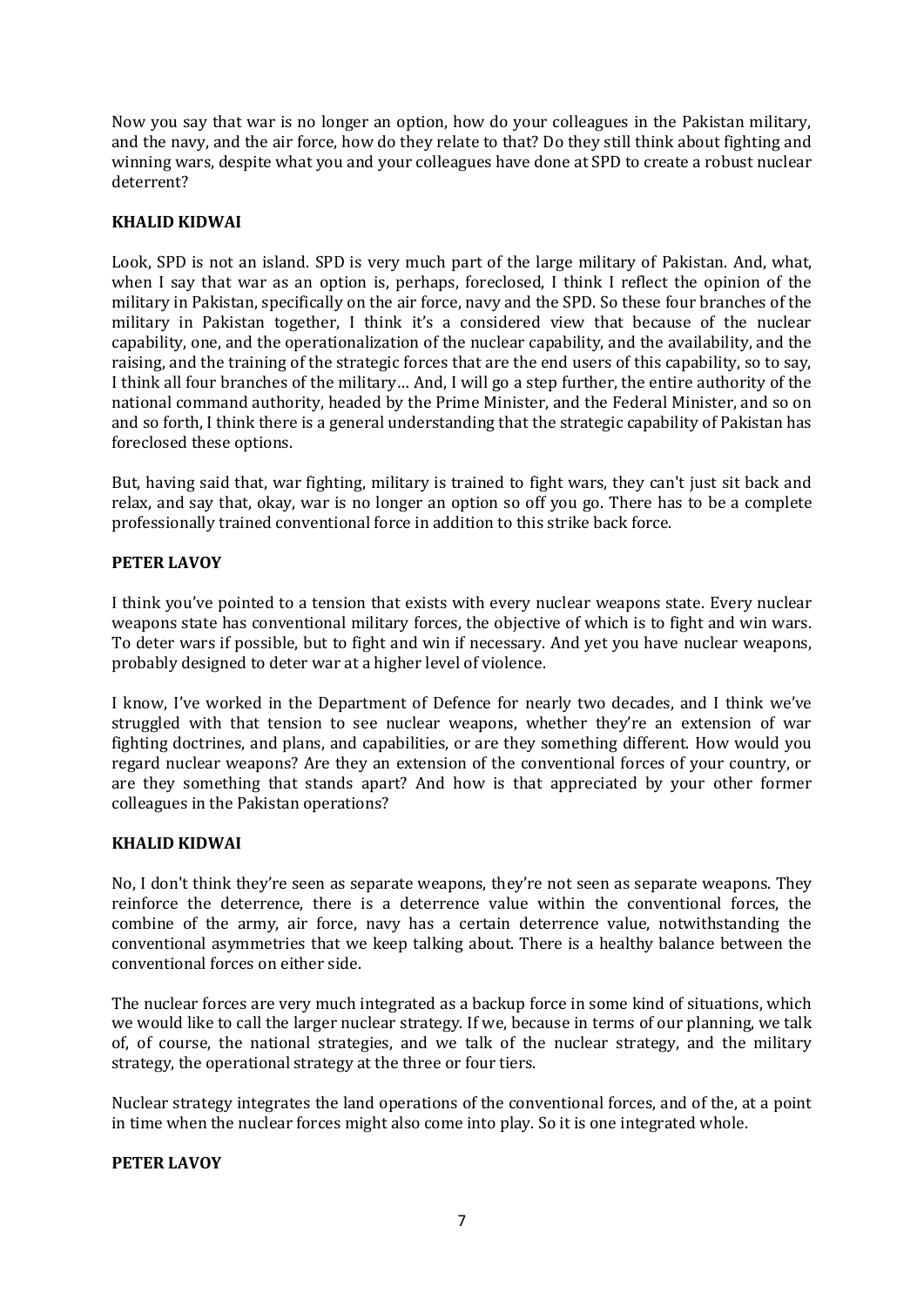Now you say that war is no longer an option, how do your colleagues in the Pakistan military, and the navy, and the air force, how do they relate to that? Do they still think about fighting and winning wars, despite what you and your colleagues have done at SPD to create a robust nuclear deterrent?

# **KHALID KIDWAI**

Look, SPD is not an island. SPD is very much part of the large military of Pakistan. And, what, when I say that war as an option is, perhaps, foreclosed, I think I reflect the opinion of the military in Pakistan, specifically on the air force, navy and the SPD. So these four branches of the military in Pakistan together, I think it's a considered view that because of the nuclear capability, one, and the operationalization of the nuclear capability, and the availability, and the raising, and the training of the strategic forces that are the end users of this capability, so to say, I think all four branches of the military… And, I will go a step further, the entire authority of the national command authority, headed by the Prime Minister, and the Federal Minister, and so on and so forth, I think there is a general understanding that the strategic capability of Pakistan has foreclosed these options.

But, having said that, war fighting, military is trained to fight wars, they can't just sit back and relax, and say that, okay, war is no longer an option so off you go. There has to be a complete professionally trained conventional force in addition to this strike back force.

## **PETER LAVOY**

I think you've pointed to a tension that exists with every nuclear weapons state. Every nuclear weapons state has conventional military forces, the objective of which is to fight and win wars. To deter wars if possible, but to fight and win if necessary. And yet you have nuclear weapons, probably designed to deter war at a higher level of violence.

I know, I've worked in the Department of Defence for nearly two decades, and I think we've struggled with that tension to see nuclear weapons, whether they're an extension of war fighting doctrines, and plans, and capabilities, or are they something different. How would you regard nuclear weapons? Are they an extension of the conventional forces of your country, or are they something that stands apart? And how is that appreciated by your other former colleagues in the Pakistan operations?

#### **KHALID KIDWAI**

No, I don't think they're seen as separate weapons, they're not seen as separate weapons. They reinforce the deterrence, there is a deterrence value within the conventional forces, the combine of the army, air force, navy has a certain deterrence value, notwithstanding the conventional asymmetries that we keep talking about. There is a healthy balance between the conventional forces on either side.

The nuclear forces are very much integrated as a backup force in some kind of situations, which we would like to call the larger nuclear strategy. If we, because in terms of our planning, we talk of, of course, the national strategies, and we talk of the nuclear strategy, and the military strategy, the operational strategy at the three or four tiers.

Nuclear strategy integrates the land operations of the conventional forces, and of the, at a point in time when the nuclear forces might also come into play. So it is one integrated whole.

#### **PETER LAVOY**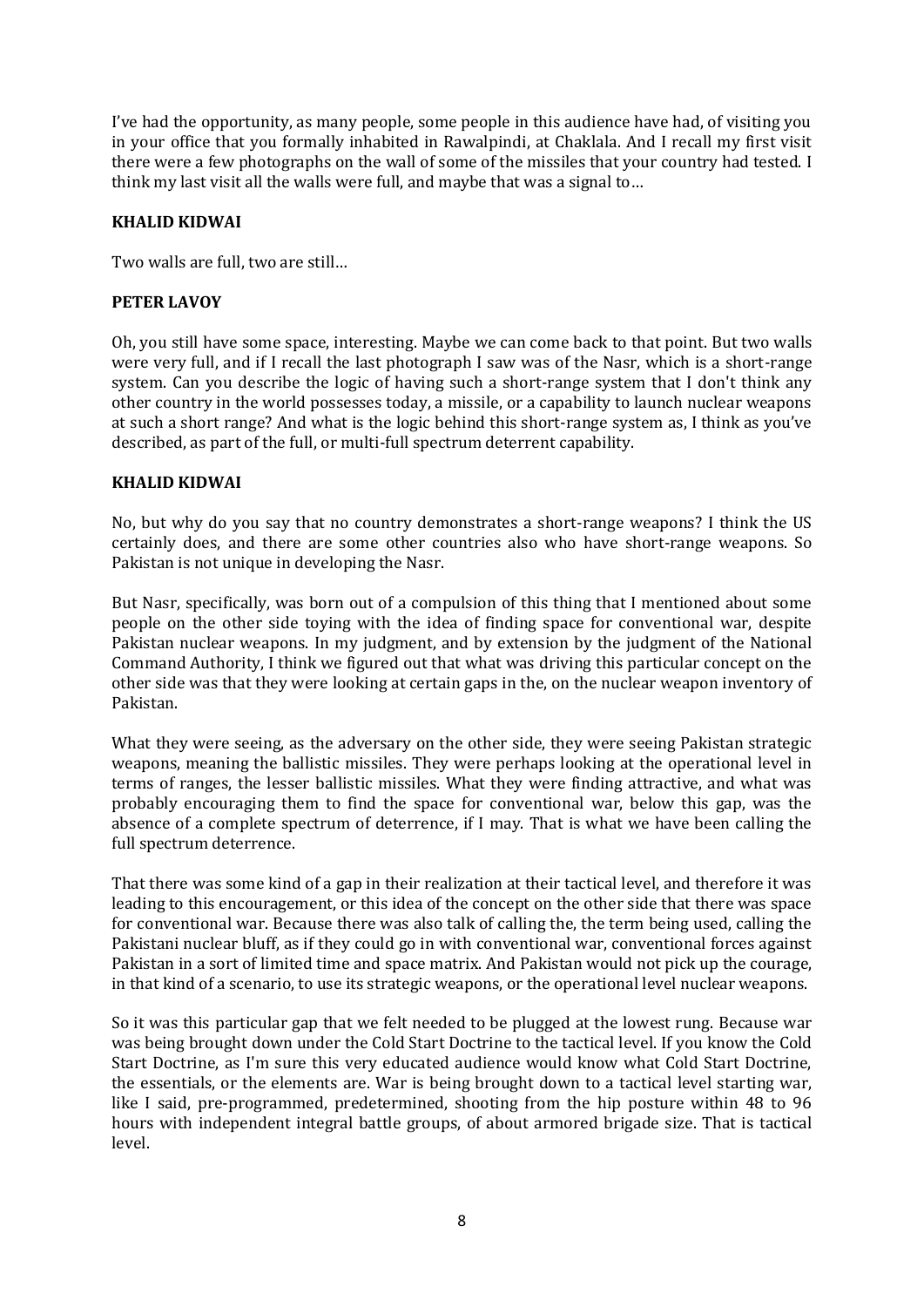I've had the opportunity, as many people, some people in this audience have had, of visiting you in your office that you formally inhabited in Rawalpindi, at Chaklala. And I recall my first visit there were a few photographs on the wall of some of the missiles that your country had tested. I think my last visit all the walls were full, and maybe that was a signal to…

## **KHALID KIDWAI**

Two walls are full, two are still…

### **PETER LAVOY**

Oh, you still have some space, interesting. Maybe we can come back to that point. But two walls were very full, and if I recall the last photograph I saw was of the Nasr, which is a short-range system. Can you describe the logic of having such a short-range system that I don't think any other country in the world possesses today, a missile, or a capability to launch nuclear weapons at such a short range? And what is the logic behind this short-range system as, I think as you've described, as part of the full, or multi-full spectrum deterrent capability.

## **KHALID KIDWAI**

No, but why do you say that no country demonstrates a short-range weapons? I think the US certainly does, and there are some other countries also who have short-range weapons. So Pakistan is not unique in developing the Nasr.

But Nasr, specifically, was born out of a compulsion of this thing that I mentioned about some people on the other side toying with the idea of finding space for conventional war, despite Pakistan nuclear weapons. In my judgment, and by extension by the judgment of the National Command Authority, I think we figured out that what was driving this particular concept on the other side was that they were looking at certain gaps in the, on the nuclear weapon inventory of Pakistan.

What they were seeing, as the adversary on the other side, they were seeing Pakistan strategic weapons, meaning the ballistic missiles. They were perhaps looking at the operational level in terms of ranges, the lesser ballistic missiles. What they were finding attractive, and what was probably encouraging them to find the space for conventional war, below this gap, was the absence of a complete spectrum of deterrence, if I may. That is what we have been calling the full spectrum deterrence.

That there was some kind of a gap in their realization at their tactical level, and therefore it was leading to this encouragement, or this idea of the concept on the other side that there was space for conventional war. Because there was also talk of calling the, the term being used, calling the Pakistani nuclear bluff, as if they could go in with conventional war, conventional forces against Pakistan in a sort of limited time and space matrix. And Pakistan would not pick up the courage, in that kind of a scenario, to use its strategic weapons, or the operational level nuclear weapons.

So it was this particular gap that we felt needed to be plugged at the lowest rung. Because war was being brought down under the Cold Start Doctrine to the tactical level. If you know the Cold Start Doctrine, as I'm sure this very educated audience would know what Cold Start Doctrine, the essentials, or the elements are. War is being brought down to a tactical level starting war, like I said, pre-programmed, predetermined, shooting from the hip posture within 48 to 96 hours with independent integral battle groups, of about armored brigade size. That is tactical level.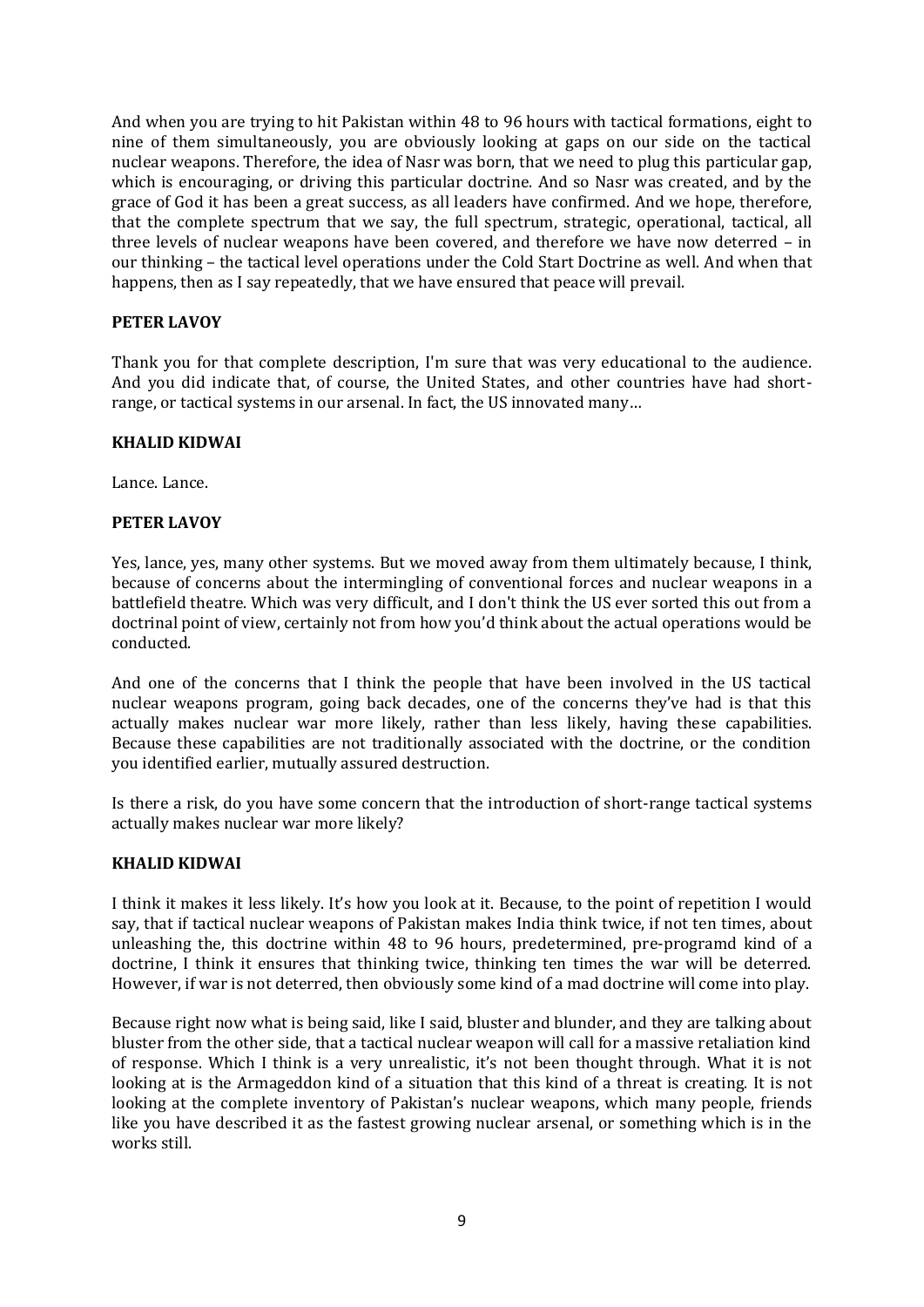And when you are trying to hit Pakistan within 48 to 96 hours with tactical formations, eight to nine of them simultaneously, you are obviously looking at gaps on our side on the tactical nuclear weapons. Therefore, the idea of Nasr was born, that we need to plug this particular gap, which is encouraging, or driving this particular doctrine. And so Nasr was created, and by the grace of God it has been a great success, as all leaders have confirmed. And we hope, therefore, that the complete spectrum that we say, the full spectrum, strategic, operational, tactical, all three levels of nuclear weapons have been covered, and therefore we have now deterred – in our thinking – the tactical level operations under the Cold Start Doctrine as well. And when that happens, then as I say repeatedly, that we have ensured that peace will prevail.

# **PETER LAVOY**

Thank you for that complete description, I'm sure that was very educational to the audience. And you did indicate that, of course, the United States, and other countries have had shortrange, or tactical systems in our arsenal. In fact, the US innovated many…

#### **KHALID KIDWAI**

Lance. Lance.

## **PETER LAVOY**

Yes, lance, yes, many other systems. But we moved away from them ultimately because, I think, because of concerns about the intermingling of conventional forces and nuclear weapons in a battlefield theatre. Which was very difficult, and I don't think the US ever sorted this out from a doctrinal point of view, certainly not from how you'd think about the actual operations would be conducted.

And one of the concerns that I think the people that have been involved in the US tactical nuclear weapons program, going back decades, one of the concerns they've had is that this actually makes nuclear war more likely, rather than less likely, having these capabilities. Because these capabilities are not traditionally associated with the doctrine, or the condition you identified earlier, mutually assured destruction.

Is there a risk, do you have some concern that the introduction of short-range tactical systems actually makes nuclear war more likely?

#### **KHALID KIDWAI**

I think it makes it less likely. It's how you look at it. Because, to the point of repetition I would say, that if tactical nuclear weapons of Pakistan makes India think twice, if not ten times, about unleashing the, this doctrine within 48 to 96 hours, predetermined, pre-programd kind of a doctrine, I think it ensures that thinking twice, thinking ten times the war will be deterred. However, if war is not deterred, then obviously some kind of a mad doctrine will come into play.

Because right now what is being said, like I said, bluster and blunder, and they are talking about bluster from the other side, that a tactical nuclear weapon will call for a massive retaliation kind of response. Which I think is a very unrealistic, it's not been thought through. What it is not looking at is the Armageddon kind of a situation that this kind of a threat is creating. It is not looking at the complete inventory of Pakistan's nuclear weapons, which many people, friends like you have described it as the fastest growing nuclear arsenal, or something which is in the works still.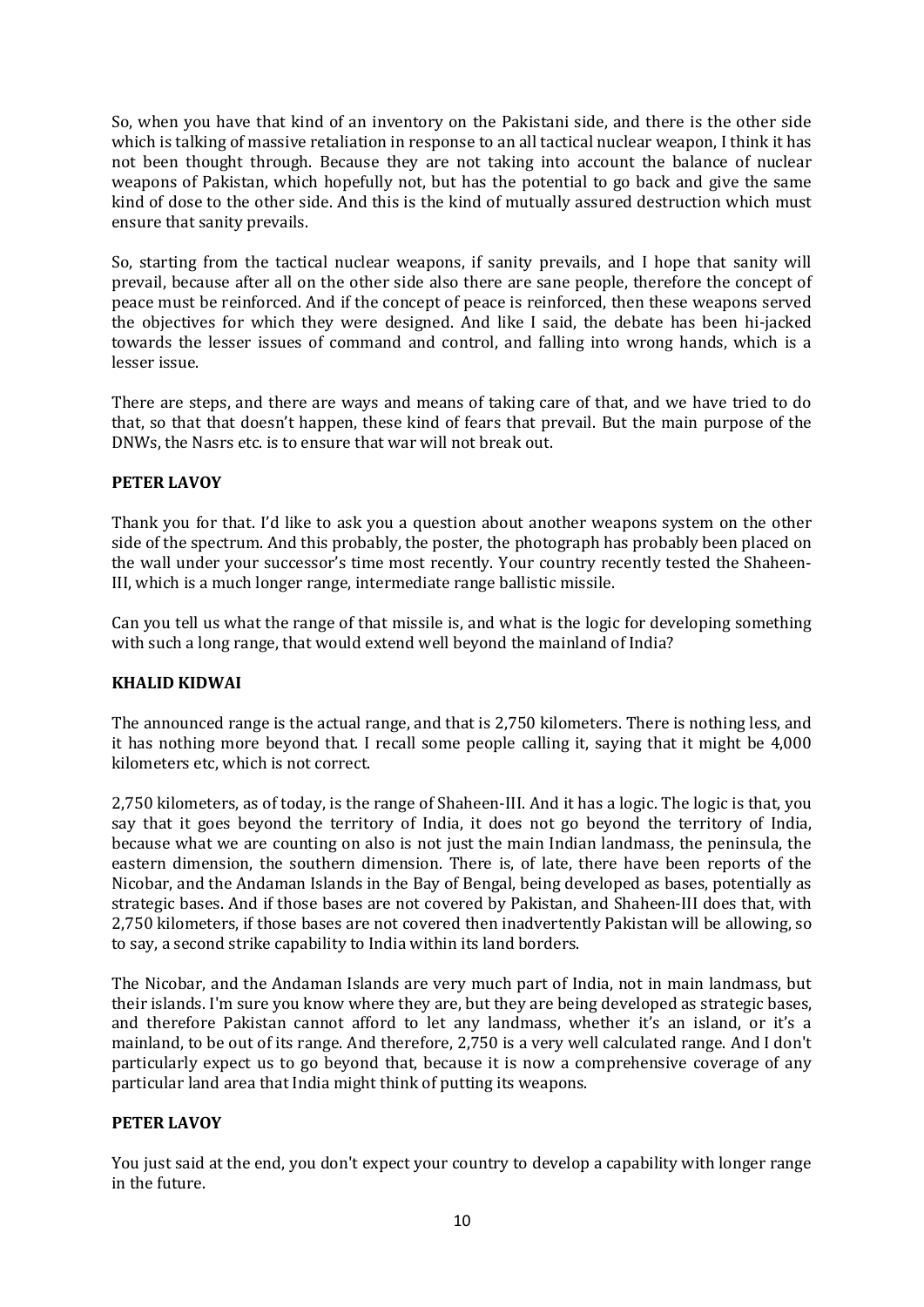So, when you have that kind of an inventory on the Pakistani side, and there is the other side which is talking of massive retaliation in response to an all tactical nuclear weapon, I think it has not been thought through. Because they are not taking into account the balance of nuclear weapons of Pakistan, which hopefully not, but has the potential to go back and give the same kind of dose to the other side. And this is the kind of mutually assured destruction which must ensure that sanity prevails.

So, starting from the tactical nuclear weapons, if sanity prevails, and I hope that sanity will prevail, because after all on the other side also there are sane people, therefore the concept of peace must be reinforced. And if the concept of peace is reinforced, then these weapons served the objectives for which they were designed. And like I said, the debate has been hi-jacked towards the lesser issues of command and control, and falling into wrong hands, which is a lesser issue.

There are steps, and there are ways and means of taking care of that, and we have tried to do that, so that that doesn't happen, these kind of fears that prevail. But the main purpose of the DNWs, the Nasrs etc. is to ensure that war will not break out.

# **PETER LAVOY**

Thank you for that. I'd like to ask you a question about another weapons system on the other side of the spectrum. And this probably, the poster, the photograph has probably been placed on the wall under your successor's time most recently. Your country recently tested the Shaheen-III, which is a much longer range, intermediate range ballistic missile.

Can you tell us what the range of that missile is, and what is the logic for developing something with such a long range, that would extend well beyond the mainland of India?

# **KHALID KIDWAI**

The announced range is the actual range, and that is 2,750 kilometers. There is nothing less, and it has nothing more beyond that. I recall some people calling it, saying that it might be 4,000 kilometers etc, which is not correct.

2,750 kilometers, as of today, is the range of Shaheen-III. And it has a logic. The logic is that, you say that it goes beyond the territory of India, it does not go beyond the territory of India, because what we are counting on also is not just the main Indian landmass, the peninsula, the eastern dimension, the southern dimension. There is, of late, there have been reports of the Nicobar, and the Andaman Islands in the Bay of Bengal, being developed as bases, potentially as strategic bases. And if those bases are not covered by Pakistan, and Shaheen-III does that, with 2,750 kilometers, if those bases are not covered then inadvertently Pakistan will be allowing, so to say, a second strike capability to India within its land borders.

The Nicobar, and the Andaman Islands are very much part of India, not in main landmass, but their islands. I'm sure you know where they are, but they are being developed as strategic bases, and therefore Pakistan cannot afford to let any landmass, whether it's an island, or it's a mainland, to be out of its range. And therefore, 2,750 is a very well calculated range. And I don't particularly expect us to go beyond that, because it is now a comprehensive coverage of any particular land area that India might think of putting its weapons.

# **PETER LAVOY**

You just said at the end, you don't expect your country to develop a capability with longer range in the future.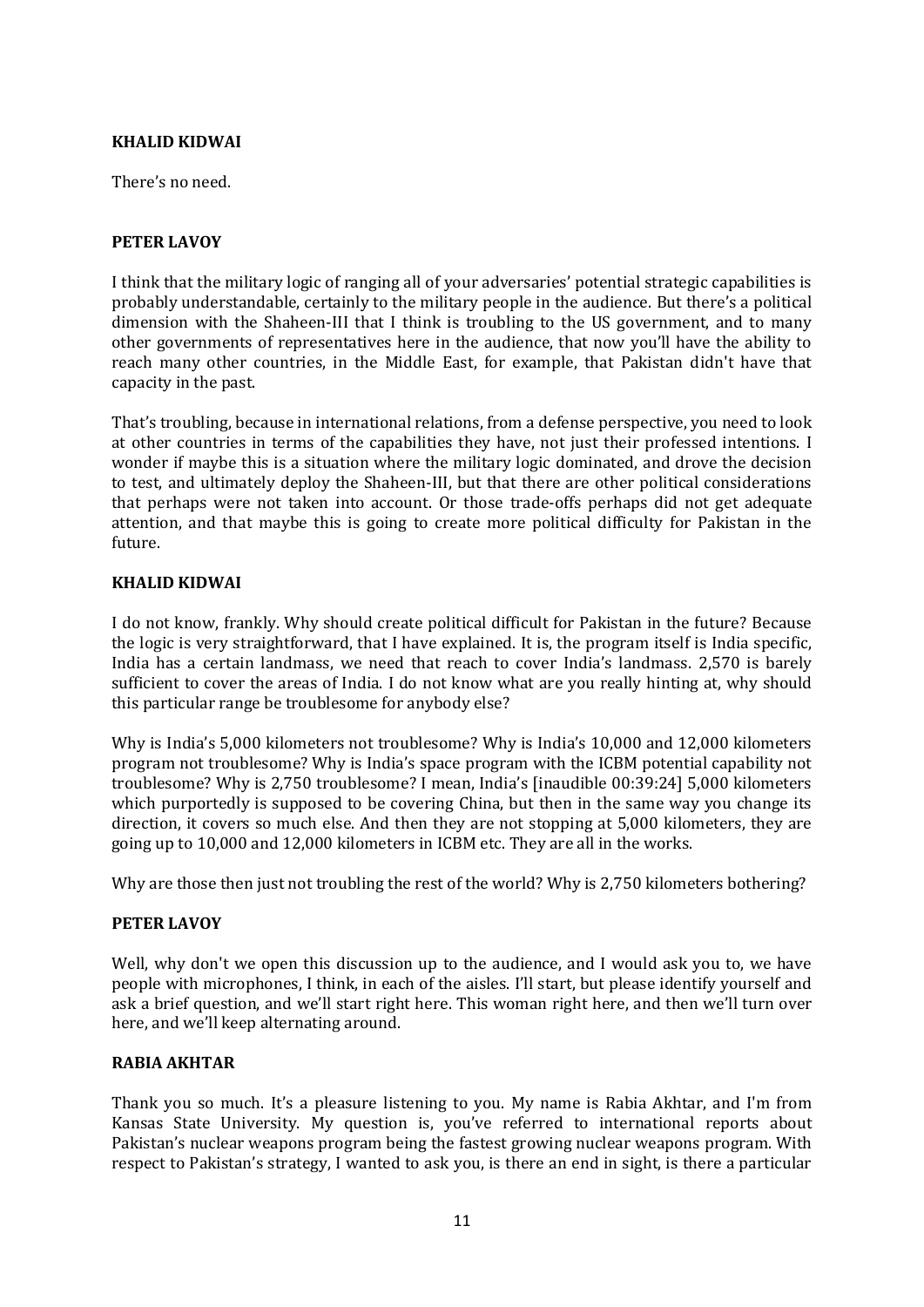# **KHALID KIDWAI**

There's no need.

## **PETER LAVOY**

I think that the military logic of ranging all of your adversaries' potential strategic capabilities is probably understandable, certainly to the military people in the audience. But there's a political dimension with the Shaheen-III that I think is troubling to the US government, and to many other governments of representatives here in the audience, that now you'll have the ability to reach many other countries, in the Middle East, for example, that Pakistan didn't have that capacity in the past.

That's troubling, because in international relations, from a defense perspective, you need to look at other countries in terms of the capabilities they have, not just their professed intentions. I wonder if maybe this is a situation where the military logic dominated, and drove the decision to test, and ultimately deploy the Shaheen-III, but that there are other political considerations that perhaps were not taken into account. Or those trade-offs perhaps did not get adequate attention, and that maybe this is going to create more political difficulty for Pakistan in the future.

## **KHALID KIDWAI**

I do not know, frankly. Why should create political difficult for Pakistan in the future? Because the logic is very straightforward, that I have explained. It is, the program itself is India specific, India has a certain landmass, we need that reach to cover India's landmass. 2,570 is barely sufficient to cover the areas of India. I do not know what are you really hinting at, why should this particular range be troublesome for anybody else?

Why is India's 5,000 kilometers not troublesome? Why is India's 10,000 and 12,000 kilometers program not troublesome? Why is India's space program with the ICBM potential capability not troublesome? Why is 2,750 troublesome? I mean, India's [inaudible 00:39:24] 5,000 kilometers which purportedly is supposed to be covering China, but then in the same way you change its direction, it covers so much else. And then they are not stopping at 5,000 kilometers, they are going up to 10,000 and 12,000 kilometers in ICBM etc. They are all in the works.

Why are those then just not troubling the rest of the world? Why is 2,750 kilometers bothering?

#### **PETER LAVOY**

Well, why don't we open this discussion up to the audience, and I would ask you to, we have people with microphones, I think, in each of the aisles. I'll start, but please identify yourself and ask a brief question, and we'll start right here. This woman right here, and then we'll turn over here, and we'll keep alternating around.

# **RABIA AKHTAR**

Thank you so much. It's a pleasure listening to you. My name is Rabia Akhtar, and I'm from Kansas State University. My question is, you've referred to international reports about Pakistan's nuclear weapons program being the fastest growing nuclear weapons program. With respect to Pakistan's strategy, I wanted to ask you, is there an end in sight, is there a particular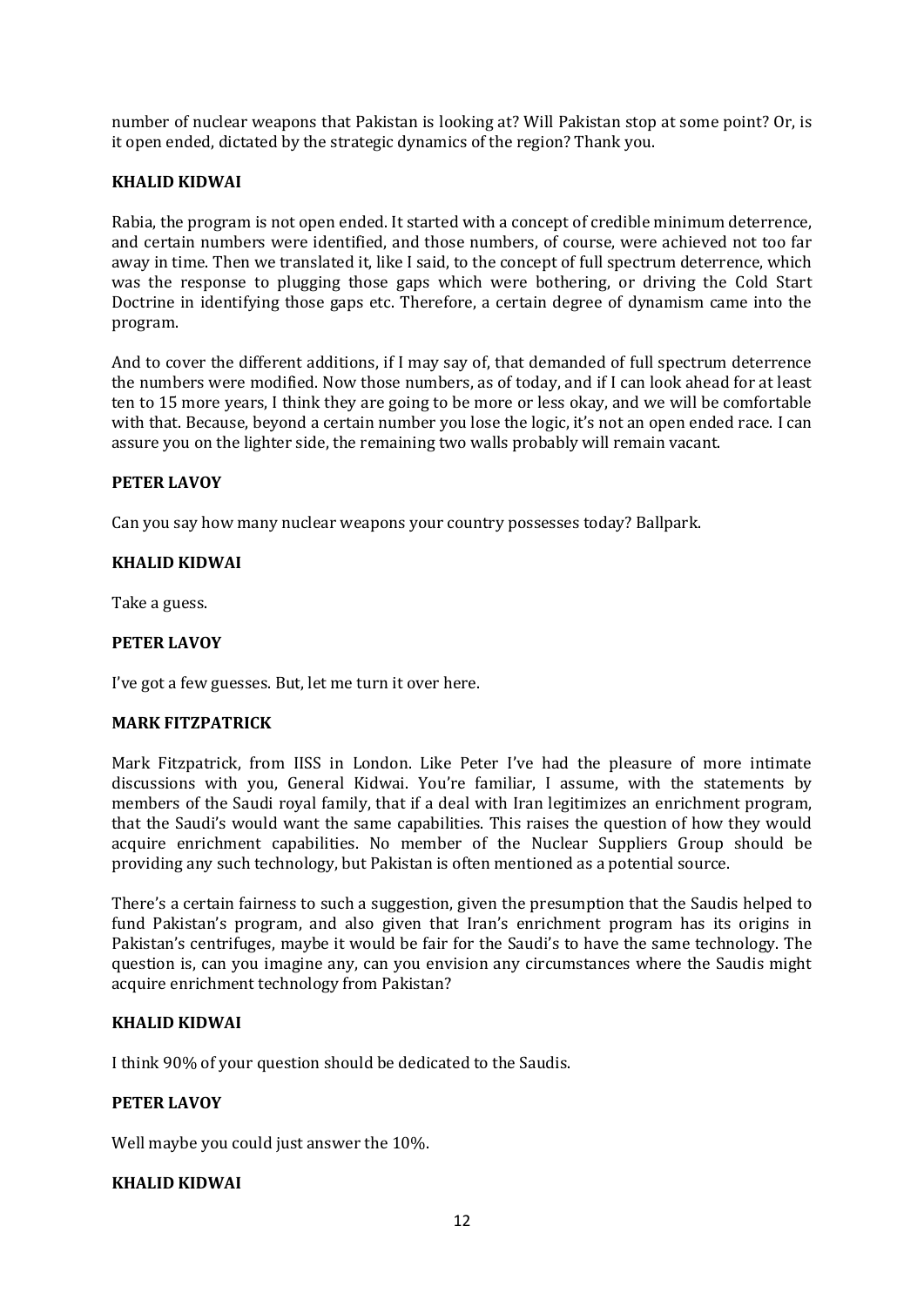number of nuclear weapons that Pakistan is looking at? Will Pakistan stop at some point? Or, is it open ended, dictated by the strategic dynamics of the region? Thank you.

## **KHALID KIDWAI**

Rabia, the program is not open ended. It started with a concept of credible minimum deterrence, and certain numbers were identified, and those numbers, of course, were achieved not too far away in time. Then we translated it, like I said, to the concept of full spectrum deterrence, which was the response to plugging those gaps which were bothering, or driving the Cold Start Doctrine in identifying those gaps etc. Therefore, a certain degree of dynamism came into the program.

And to cover the different additions, if I may say of, that demanded of full spectrum deterrence the numbers were modified. Now those numbers, as of today, and if I can look ahead for at least ten to 15 more years, I think they are going to be more or less okay, and we will be comfortable with that. Because, beyond a certain number you lose the logic, it's not an open ended race. I can assure you on the lighter side, the remaining two walls probably will remain vacant.

#### **PETER LAVOY**

Can you say how many nuclear weapons your country possesses today? Ballpark.

## **KHALID KIDWAI**

Take a guess.

## **PETER LAVOY**

I've got a few guesses. But, let me turn it over here.

#### **MARK FITZPATRICK**

Mark Fitzpatrick, from IISS in London. Like Peter I've had the pleasure of more intimate discussions with you, General Kidwai. You're familiar, I assume, with the statements by members of the Saudi royal family, that if a deal with Iran legitimizes an enrichment program, that the Saudi's would want the same capabilities. This raises the question of how they would acquire enrichment capabilities. No member of the Nuclear Suppliers Group should be providing any such technology, but Pakistan is often mentioned as a potential source.

There's a certain fairness to such a suggestion, given the presumption that the Saudis helped to fund Pakistan's program, and also given that Iran's enrichment program has its origins in Pakistan's centrifuges, maybe it would be fair for the Saudi's to have the same technology. The question is, can you imagine any, can you envision any circumstances where the Saudis might acquire enrichment technology from Pakistan?

#### **KHALID KIDWAI**

I think 90% of your question should be dedicated to the Saudis.

#### **PETER LAVOY**

Well maybe you could just answer the 10%.

# **KHALID KIDWAI**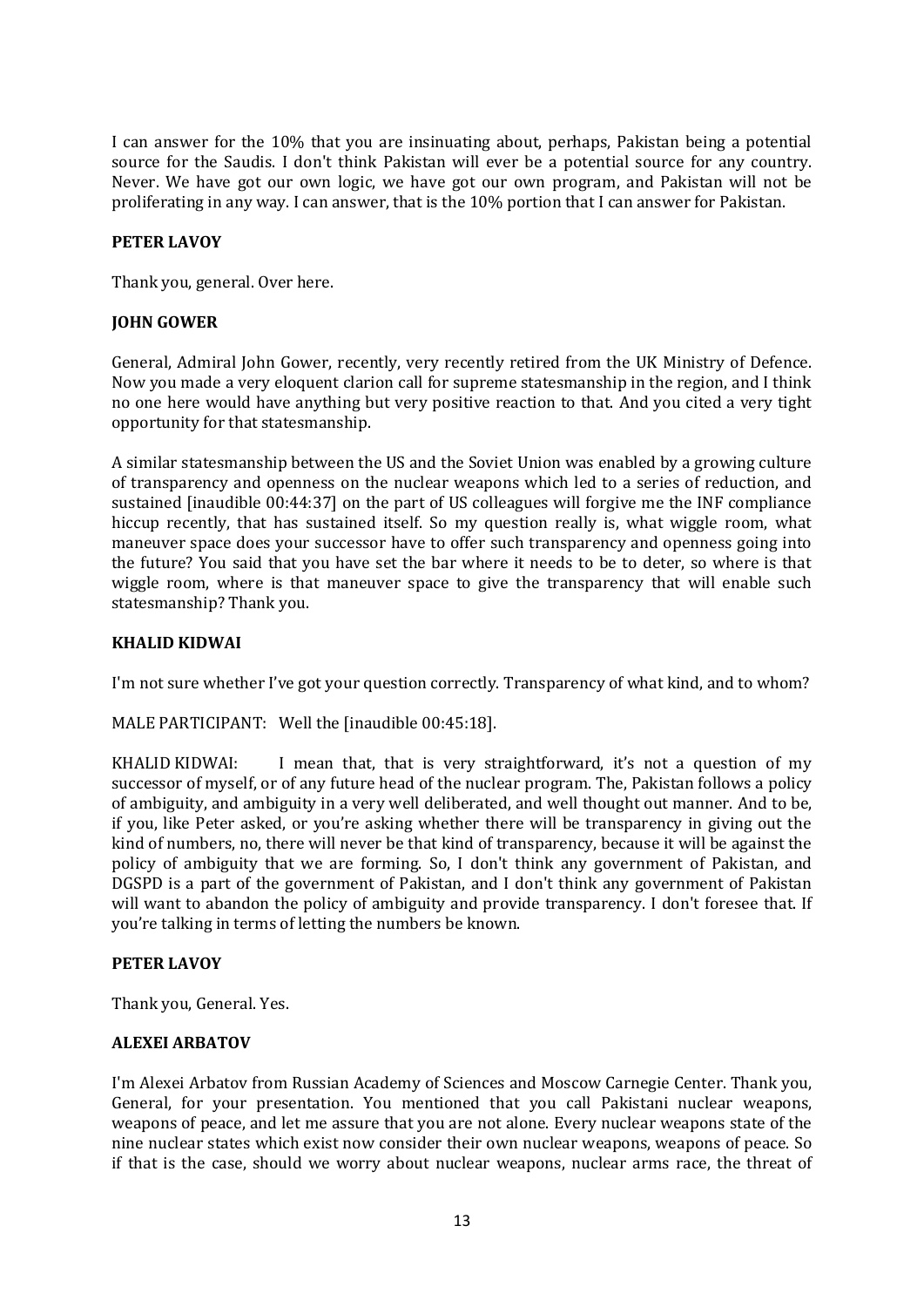I can answer for the 10% that you are insinuating about, perhaps, Pakistan being a potential source for the Saudis. I don't think Pakistan will ever be a potential source for any country. Never. We have got our own logic, we have got our own program, and Pakistan will not be proliferating in any way. I can answer, that is the 10% portion that I can answer for Pakistan.

# **PETER LAVOY**

Thank you, general. Over here.

## **JOHN GOWER**

General, Admiral John Gower, recently, very recently retired from the UK Ministry of Defence. Now you made a very eloquent clarion call for supreme statesmanship in the region, and I think no one here would have anything but very positive reaction to that. And you cited a very tight opportunity for that statesmanship.

A similar statesmanship between the US and the Soviet Union was enabled by a growing culture of transparency and openness on the nuclear weapons which led to a series of reduction, and sustained [inaudible 00:44:37] on the part of US colleagues will forgive me the INF compliance hiccup recently, that has sustained itself. So my question really is, what wiggle room, what maneuver space does your successor have to offer such transparency and openness going into the future? You said that you have set the bar where it needs to be to deter, so where is that wiggle room, where is that maneuver space to give the transparency that will enable such statesmanship? Thank you.

## **KHALID KIDWAI**

I'm not sure whether I've got your question correctly. Transparency of what kind, and to whom?

MALE PARTICIPANT: Well the [inaudible 00:45:18].

KHALID KIDWAI: I mean that, that is very straightforward, it's not a question of my successor of myself, or of any future head of the nuclear program. The, Pakistan follows a policy of ambiguity, and ambiguity in a very well deliberated, and well thought out manner. And to be, if you, like Peter asked, or you're asking whether there will be transparency in giving out the kind of numbers, no, there will never be that kind of transparency, because it will be against the policy of ambiguity that we are forming. So, I don't think any government of Pakistan, and DGSPD is a part of the government of Pakistan, and I don't think any government of Pakistan will want to abandon the policy of ambiguity and provide transparency. I don't foresee that. If you're talking in terms of letting the numbers be known.

#### **PETER LAVOY**

Thank you, General. Yes.

#### **ALEXEI ARBATOV**

I'm Alexei Arbatov from Russian Academy of Sciences and Moscow Carnegie Center. Thank you, General, for your presentation. You mentioned that you call Pakistani nuclear weapons, weapons of peace, and let me assure that you are not alone. Every nuclear weapons state of the nine nuclear states which exist now consider their own nuclear weapons, weapons of peace. So if that is the case, should we worry about nuclear weapons, nuclear arms race, the threat of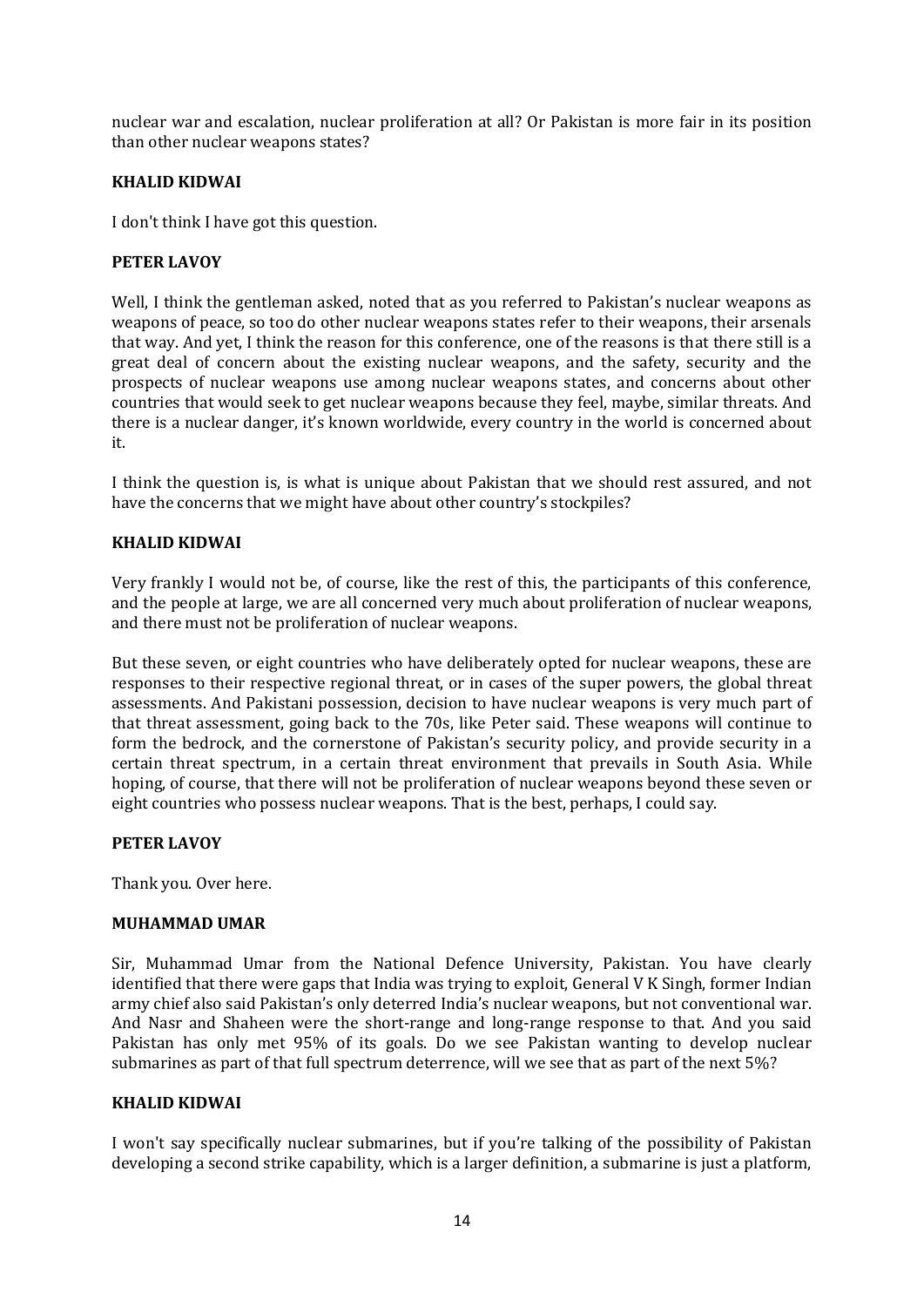nuclear war and escalation, nuclear proliferation at all? Or Pakistan is more fair in its position than other nuclear weapons states?

## **KHALID KIDWAI**

I don't think I have got this question.

## **PETER LAVOY**

Well, I think the gentleman asked, noted that as you referred to Pakistan's nuclear weapons as weapons of peace, so too do other nuclear weapons states refer to their weapons, their arsenals that way. And yet, I think the reason for this conference, one of the reasons is that there still is a great deal of concern about the existing nuclear weapons, and the safety, security and the prospects of nuclear weapons use among nuclear weapons states, and concerns about other countries that would seek to get nuclear weapons because they feel, maybe, similar threats. And there is a nuclear danger, it's known worldwide, every country in the world is concerned about it.

I think the question is, is what is unique about Pakistan that we should rest assured, and not have the concerns that we might have about other country's stockpiles?

## **KHALID KIDWAI**

Very frankly I would not be, of course, like the rest of this, the participants of this conference, and the people at large, we are all concerned very much about proliferation of nuclear weapons, and there must not be proliferation of nuclear weapons.

But these seven, or eight countries who have deliberately opted for nuclear weapons, these are responses to their respective regional threat, or in cases of the super powers, the global threat assessments. And Pakistani possession, decision to have nuclear weapons is very much part of that threat assessment, going back to the 70s, like Peter said. These weapons will continue to form the bedrock, and the cornerstone of Pakistan's security policy, and provide security in a certain threat spectrum, in a certain threat environment that prevails in South Asia. While hoping, of course, that there will not be proliferation of nuclear weapons beyond these seven or eight countries who possess nuclear weapons. That is the best, perhaps, I could say.

#### **PETER LAVOY**

Thank you. Over here.

#### **MUHAMMAD UMAR**

Sir, Muhammad Umar from the National Defence University, Pakistan. You have clearly identified that there were gaps that India was trying to exploit, General V K Singh, former Indian army chief also said Pakistan's only deterred India's nuclear weapons, but not conventional war. And Nasr and Shaheen were the short-range and long-range response to that. And you said Pakistan has only met 95% of its goals. Do we see Pakistan wanting to develop nuclear submarines as part of that full spectrum deterrence, will we see that as part of the next 5%?

#### **KHALID KIDWAI**

I won't say specifically nuclear submarines, but if you're talking of the possibility of Pakistan developing a second strike capability, which is a larger definition, a submarine is just a platform,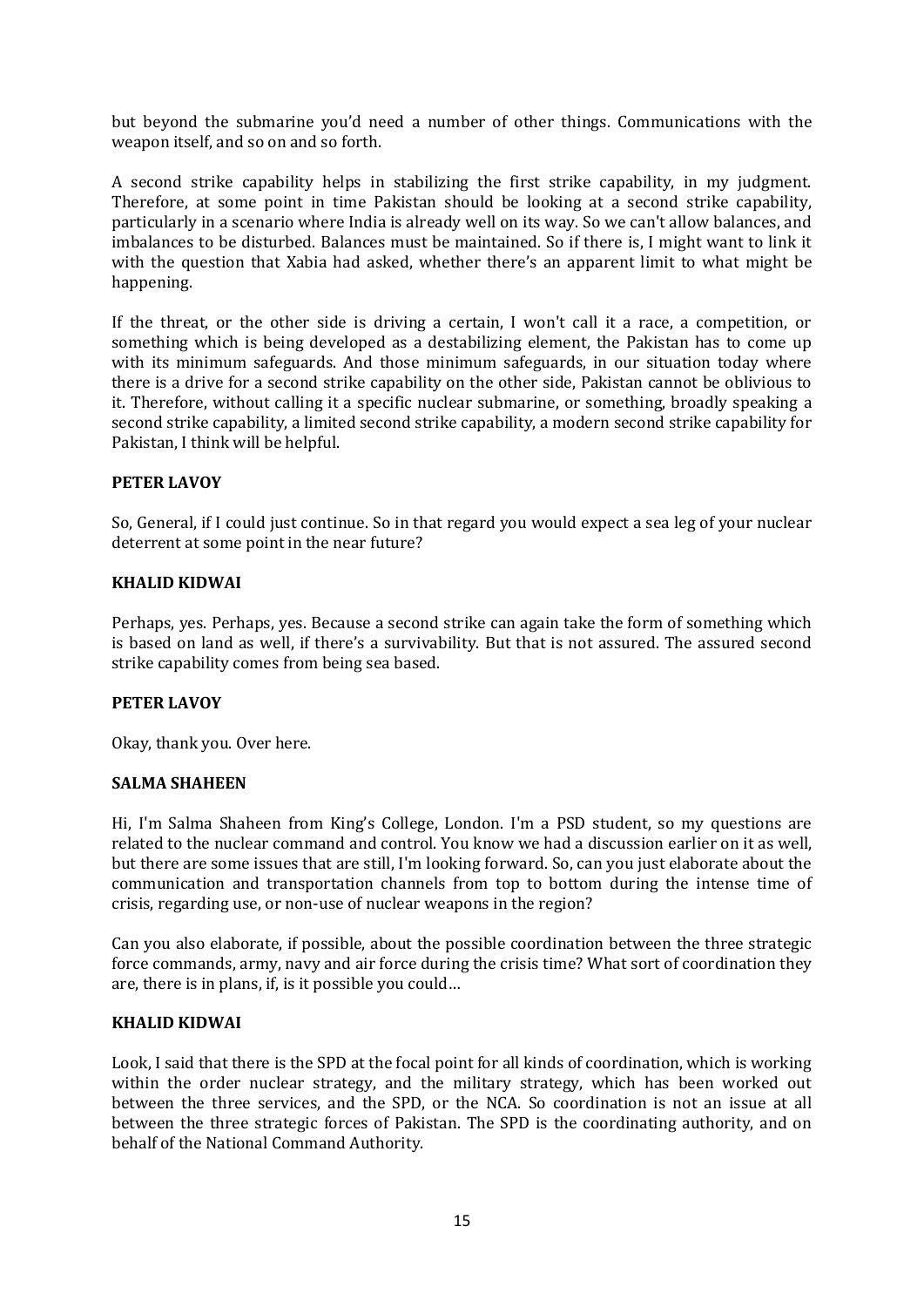but beyond the submarine you'd need a number of other things. Communications with the weapon itself, and so on and so forth.

A second strike capability helps in stabilizing the first strike capability, in my judgment. Therefore, at some point in time Pakistan should be looking at a second strike capability, particularly in a scenario where India is already well on its way. So we can't allow balances, and imbalances to be disturbed. Balances must be maintained. So if there is, I might want to link it with the question that Xabia had asked, whether there's an apparent limit to what might be happening.

If the threat, or the other side is driving a certain, I won't call it a race, a competition, or something which is being developed as a destabilizing element, the Pakistan has to come up with its minimum safeguards. And those minimum safeguards, in our situation today where there is a drive for a second strike capability on the other side, Pakistan cannot be oblivious to it. Therefore, without calling it a specific nuclear submarine, or something, broadly speaking a second strike capability, a limited second strike capability, a modern second strike capability for Pakistan, I think will be helpful.

# **PETER LAVOY**

So, General, if I could just continue. So in that regard you would expect a sea leg of your nuclear deterrent at some point in the near future?

#### **KHALID KIDWAI**

Perhaps, yes. Perhaps, yes. Because a second strike can again take the form of something which is based on land as well, if there's a survivability. But that is not assured. The assured second strike capability comes from being sea based.

#### **PETER LAVOY**

Okay, thank you. Over here.

#### **SALMA SHAHEEN**

Hi, I'm Salma Shaheen from King's College, London. I'm a PSD student, so my questions are related to the nuclear command and control. You know we had a discussion earlier on it as well, but there are some issues that are still, I'm looking forward. So, can you just elaborate about the communication and transportation channels from top to bottom during the intense time of crisis, regarding use, or non-use of nuclear weapons in the region?

Can you also elaborate, if possible, about the possible coordination between the three strategic force commands, army, navy and air force during the crisis time? What sort of coordination they are, there is in plans, if, is it possible you could…

#### **KHALID KIDWAI**

Look, I said that there is the SPD at the focal point for all kinds of coordination, which is working within the order nuclear strategy, and the military strategy, which has been worked out between the three services, and the SPD, or the NCA. So coordination is not an issue at all between the three strategic forces of Pakistan. The SPD is the coordinating authority, and on behalf of the National Command Authority.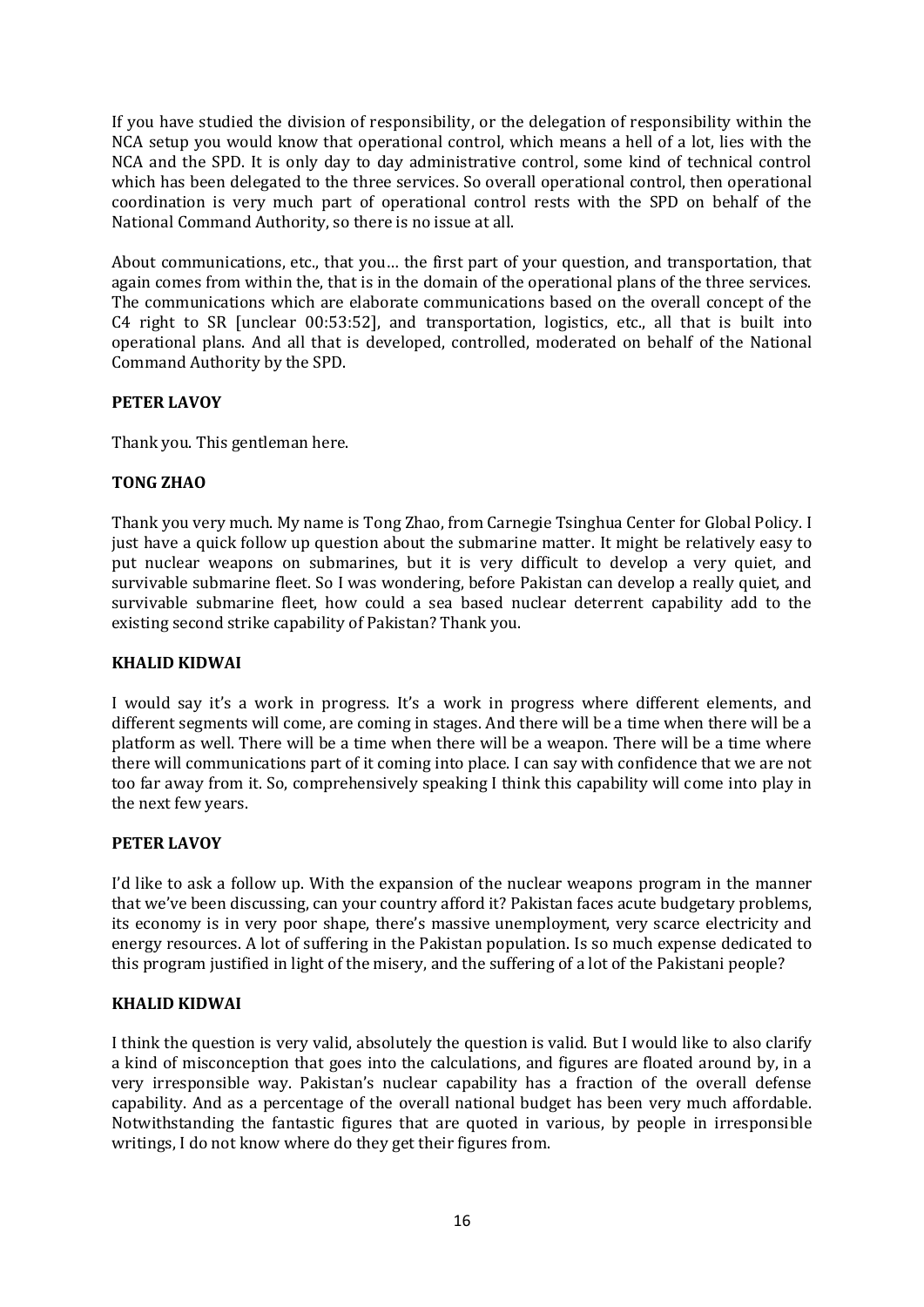If you have studied the division of responsibility, or the delegation of responsibility within the NCA setup you would know that operational control, which means a hell of a lot, lies with the NCA and the SPD. It is only day to day administrative control, some kind of technical control which has been delegated to the three services. So overall operational control, then operational coordination is very much part of operational control rests with the SPD on behalf of the National Command Authority, so there is no issue at all.

About communications, etc., that you… the first part of your question, and transportation, that again comes from within the, that is in the domain of the operational plans of the three services. The communications which are elaborate communications based on the overall concept of the C4 right to SR [unclear 00:53:52], and transportation, logistics, etc., all that is built into operational plans. And all that is developed, controlled, moderated on behalf of the National Command Authority by the SPD.

# **PETER LAVOY**

Thank you. This gentleman here.

# **TONG ZHAO**

Thank you very much. My name is Tong Zhao, from Carnegie Tsinghua Center for Global Policy. I just have a quick follow up question about the submarine matter. It might be relatively easy to put nuclear weapons on submarines, but it is very difficult to develop a very quiet, and survivable submarine fleet. So I was wondering, before Pakistan can develop a really quiet, and survivable submarine fleet, how could a sea based nuclear deterrent capability add to the existing second strike capability of Pakistan? Thank you.

### **KHALID KIDWAI**

I would say it's a work in progress. It's a work in progress where different elements, and different segments will come, are coming in stages. And there will be a time when there will be a platform as well. There will be a time when there will be a weapon. There will be a time where there will communications part of it coming into place. I can say with confidence that we are not too far away from it. So, comprehensively speaking I think this capability will come into play in the next few years.

# **PETER LAVOY**

I'd like to ask a follow up. With the expansion of the nuclear weapons program in the manner that we've been discussing, can your country afford it? Pakistan faces acute budgetary problems, its economy is in very poor shape, there's massive unemployment, very scarce electricity and energy resources. A lot of suffering in the Pakistan population. Is so much expense dedicated to this program justified in light of the misery, and the suffering of a lot of the Pakistani people?

# **KHALID KIDWAI**

I think the question is very valid, absolutely the question is valid. But I would like to also clarify a kind of misconception that goes into the calculations, and figures are floated around by, in a very irresponsible way. Pakistan's nuclear capability has a fraction of the overall defense capability. And as a percentage of the overall national budget has been very much affordable. Notwithstanding the fantastic figures that are quoted in various, by people in irresponsible writings, I do not know where do they get their figures from.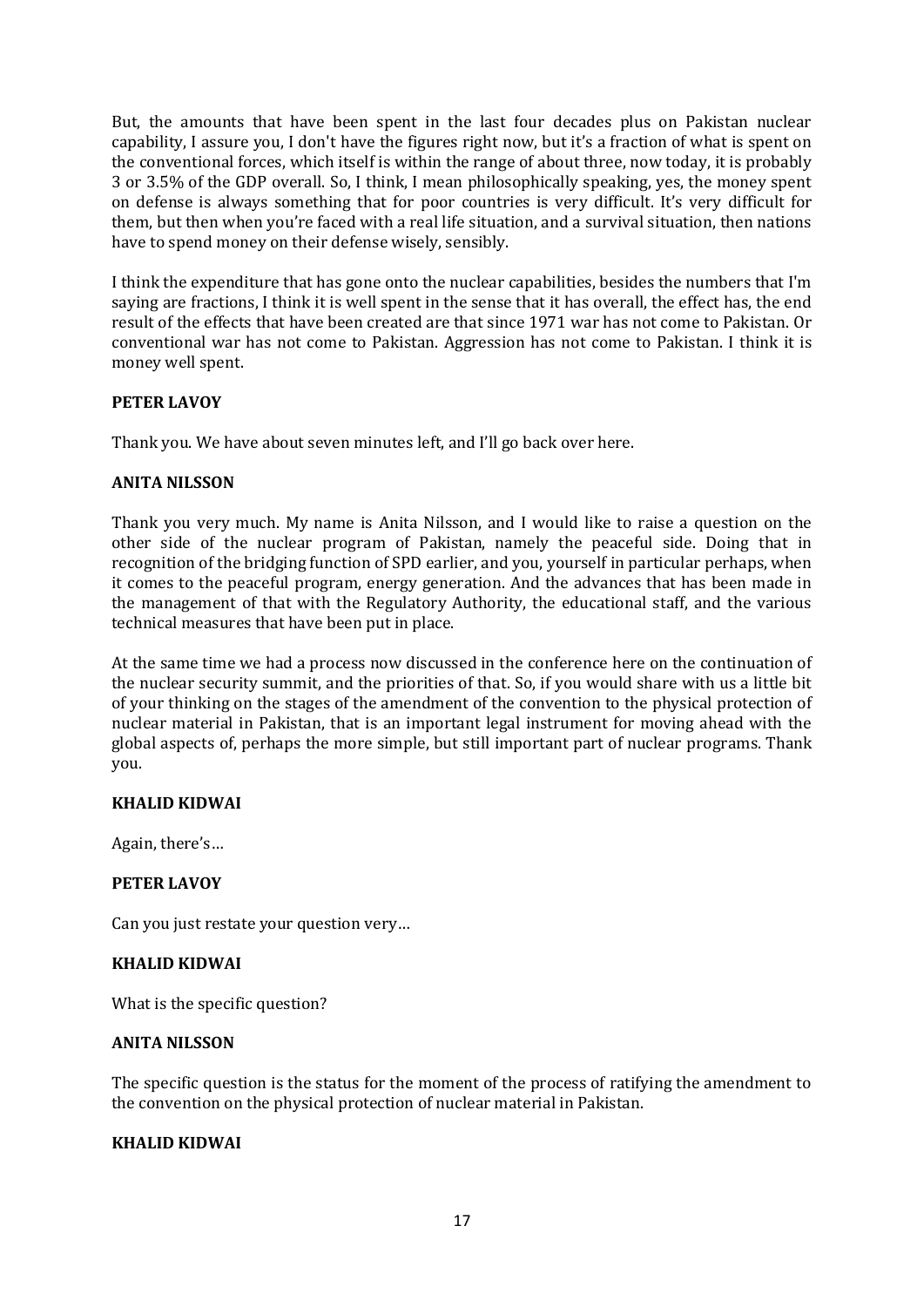But, the amounts that have been spent in the last four decades plus on Pakistan nuclear capability, I assure you, I don't have the figures right now, but it's a fraction of what is spent on the conventional forces, which itself is within the range of about three, now today, it is probably 3 or 3.5% of the GDP overall. So, I think, I mean philosophically speaking, yes, the money spent on defense is always something that for poor countries is very difficult. It's very difficult for them, but then when you're faced with a real life situation, and a survival situation, then nations have to spend money on their defense wisely, sensibly.

I think the expenditure that has gone onto the nuclear capabilities, besides the numbers that I'm saying are fractions, I think it is well spent in the sense that it has overall, the effect has, the end result of the effects that have been created are that since 1971 war has not come to Pakistan. Or conventional war has not come to Pakistan. Aggression has not come to Pakistan. I think it is money well spent.

# **PETER LAVOY**

Thank you. We have about seven minutes left, and I'll go back over here.

# **ANITA NILSSON**

Thank you very much. My name is Anita Nilsson, and I would like to raise a question on the other side of the nuclear program of Pakistan, namely the peaceful side. Doing that in recognition of the bridging function of SPD earlier, and you, yourself in particular perhaps, when it comes to the peaceful program, energy generation. And the advances that has been made in the management of that with the Regulatory Authority, the educational staff, and the various technical measures that have been put in place.

At the same time we had a process now discussed in the conference here on the continuation of the nuclear security summit, and the priorities of that. So, if you would share with us a little bit of your thinking on the stages of the amendment of the convention to the physical protection of nuclear material in Pakistan, that is an important legal instrument for moving ahead with the global aspects of, perhaps the more simple, but still important part of nuclear programs. Thank you.

# **KHALID KIDWAI**

Again, there's…

# **PETER LAVOY**

Can you just restate your question very…

#### **KHALID KIDWAI**

What is the specific question?

#### **ANITA NILSSON**

The specific question is the status for the moment of the process of ratifying the amendment to the convention on the physical protection of nuclear material in Pakistan.

# **KHALID KIDWAI**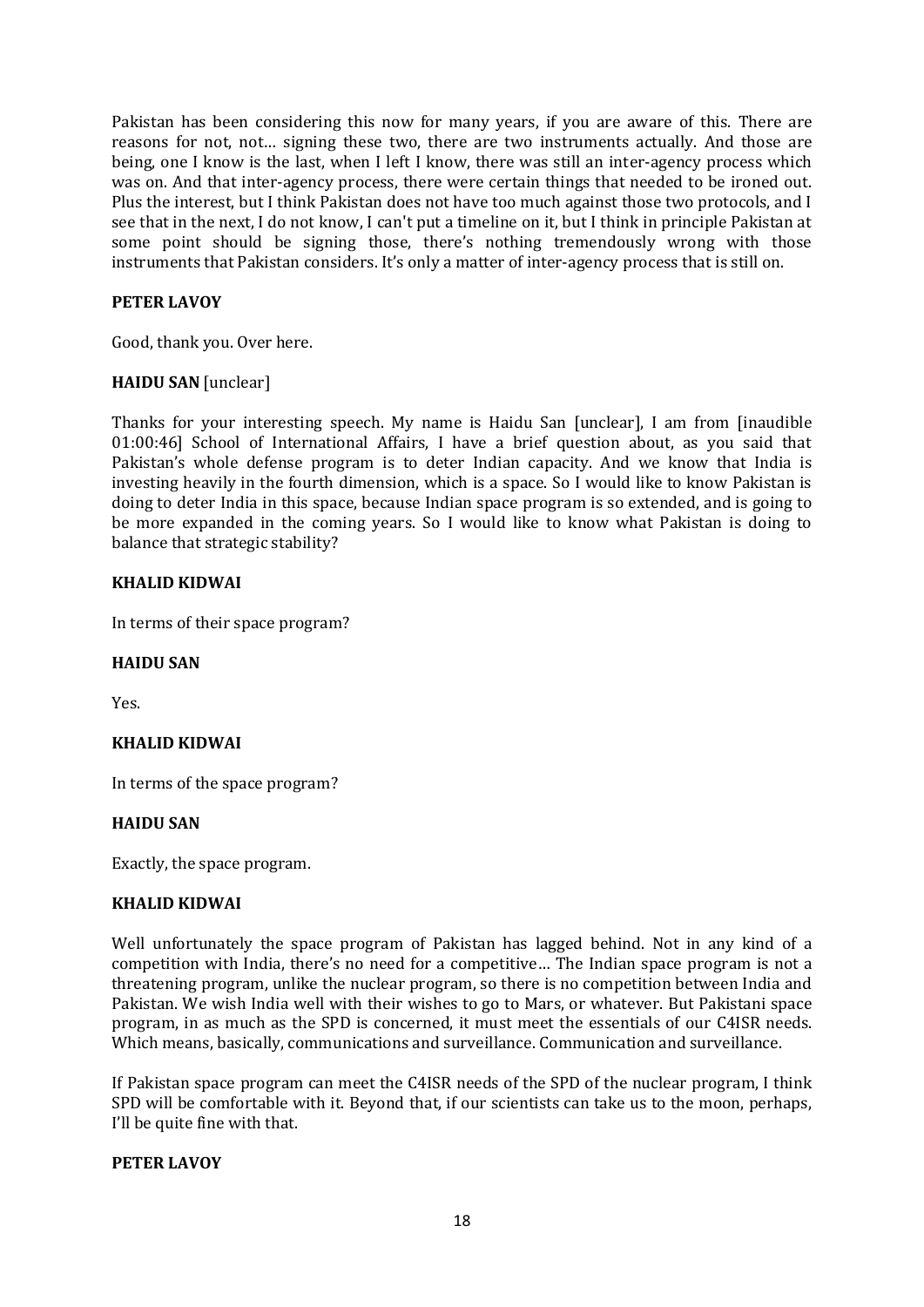Pakistan has been considering this now for many years, if you are aware of this. There are reasons for not, not… signing these two, there are two instruments actually. And those are being, one I know is the last, when I left I know, there was still an inter-agency process which was on. And that inter-agency process, there were certain things that needed to be ironed out. Plus the interest, but I think Pakistan does not have too much against those two protocols, and I see that in the next, I do not know, I can't put a timeline on it, but I think in principle Pakistan at some point should be signing those, there's nothing tremendously wrong with those instruments that Pakistan considers. It's only a matter of inter-agency process that is still on.

# **PETER LAVOY**

Good, thank you. Over here.

# **HAIDU SAN** [unclear]

Thanks for your interesting speech. My name is Haidu San [unclear], I am from [inaudible 01:00:46] School of International Affairs, I have a brief question about, as you said that Pakistan's whole defense program is to deter Indian capacity. And we know that India is investing heavily in the fourth dimension, which is a space. So I would like to know Pakistan is doing to deter India in this space, because Indian space program is so extended, and is going to be more expanded in the coming years. So I would like to know what Pakistan is doing to balance that strategic stability?

# **KHALID KIDWAI**

In terms of their space program?

### **HAIDU SAN**

Yes.

# **KHALID KIDWAI**

In terms of the space program?

#### **HAIDU SAN**

Exactly, the space program.

# **KHALID KIDWAI**

Well unfortunately the space program of Pakistan has lagged behind. Not in any kind of a competition with India, there's no need for a competitive… The Indian space program is not a threatening program, unlike the nuclear program, so there is no competition between India and Pakistan. We wish India well with their wishes to go to Mars, or whatever. But Pakistani space program, in as much as the SPD is concerned, it must meet the essentials of our C4ISR needs. Which means, basically, communications and surveillance. Communication and surveillance.

If Pakistan space program can meet the C4ISR needs of the SPD of the nuclear program, I think SPD will be comfortable with it. Beyond that, if our scientists can take us to the moon, perhaps, I'll be quite fine with that.

# **PETER LAVOY**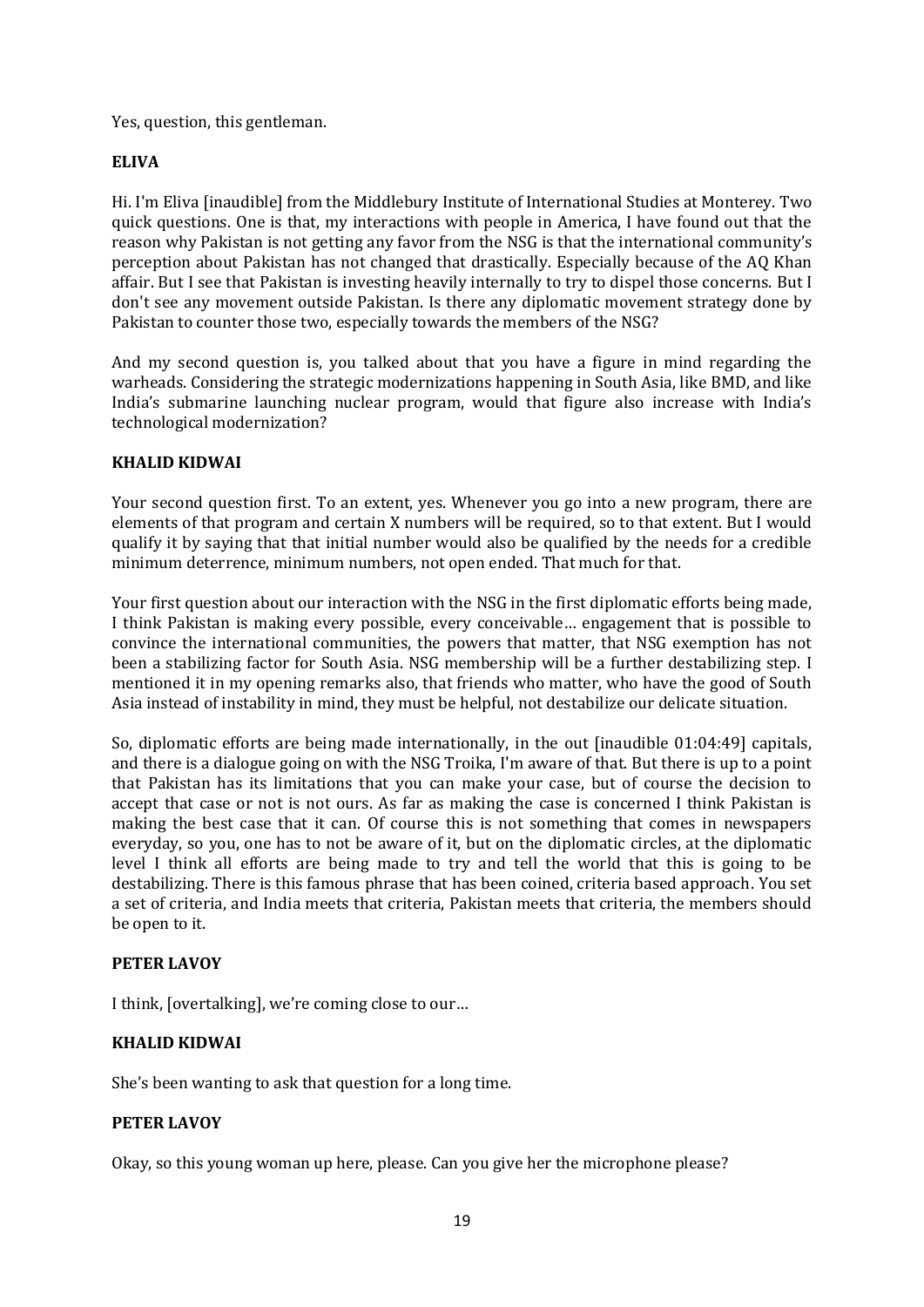Yes, question, this gentleman.

# **ELIVA**

Hi. I'm Eliva [inaudible] from the Middlebury Institute of International Studies at Monterey. Two quick questions. One is that, my interactions with people in America, I have found out that the reason why Pakistan is not getting any favor from the NSG is that the international community's perception about Pakistan has not changed that drastically. Especially because of the AQ Khan affair. But I see that Pakistan is investing heavily internally to try to dispel those concerns. But I don't see any movement outside Pakistan. Is there any diplomatic movement strategy done by Pakistan to counter those two, especially towards the members of the NSG?

And my second question is, you talked about that you have a figure in mind regarding the warheads. Considering the strategic modernizations happening in South Asia, like BMD, and like India's submarine launching nuclear program, would that figure also increase with India's technological modernization?

# **KHALID KIDWAI**

Your second question first. To an extent, yes. Whenever you go into a new program, there are elements of that program and certain X numbers will be required, so to that extent. But I would qualify it by saying that that initial number would also be qualified by the needs for a credible minimum deterrence, minimum numbers, not open ended. That much for that.

Your first question about our interaction with the NSG in the first diplomatic efforts being made, I think Pakistan is making every possible, every conceivable… engagement that is possible to convince the international communities, the powers that matter, that NSG exemption has not been a stabilizing factor for South Asia. NSG membership will be a further destabilizing step. I mentioned it in my opening remarks also, that friends who matter, who have the good of South Asia instead of instability in mind, they must be helpful, not destabilize our delicate situation.

So, diplomatic efforts are being made internationally, in the out [inaudible 01:04:49] capitals, and there is a dialogue going on with the NSG Troika, I'm aware of that. But there is up to a point that Pakistan has its limitations that you can make your case, but of course the decision to accept that case or not is not ours. As far as making the case is concerned I think Pakistan is making the best case that it can. Of course this is not something that comes in newspapers everyday, so you, one has to not be aware of it, but on the diplomatic circles, at the diplomatic level I think all efforts are being made to try and tell the world that this is going to be destabilizing. There is this famous phrase that has been coined, criteria based approach. You set a set of criteria, and India meets that criteria, Pakistan meets that criteria, the members should be open to it.

# **PETER LAVOY**

I think, [overtalking], we're coming close to our…

# **KHALID KIDWAI**

She's been wanting to ask that question for a long time.

# **PETER LAVOY**

Okay, so this young woman up here, please. Can you give her the microphone please?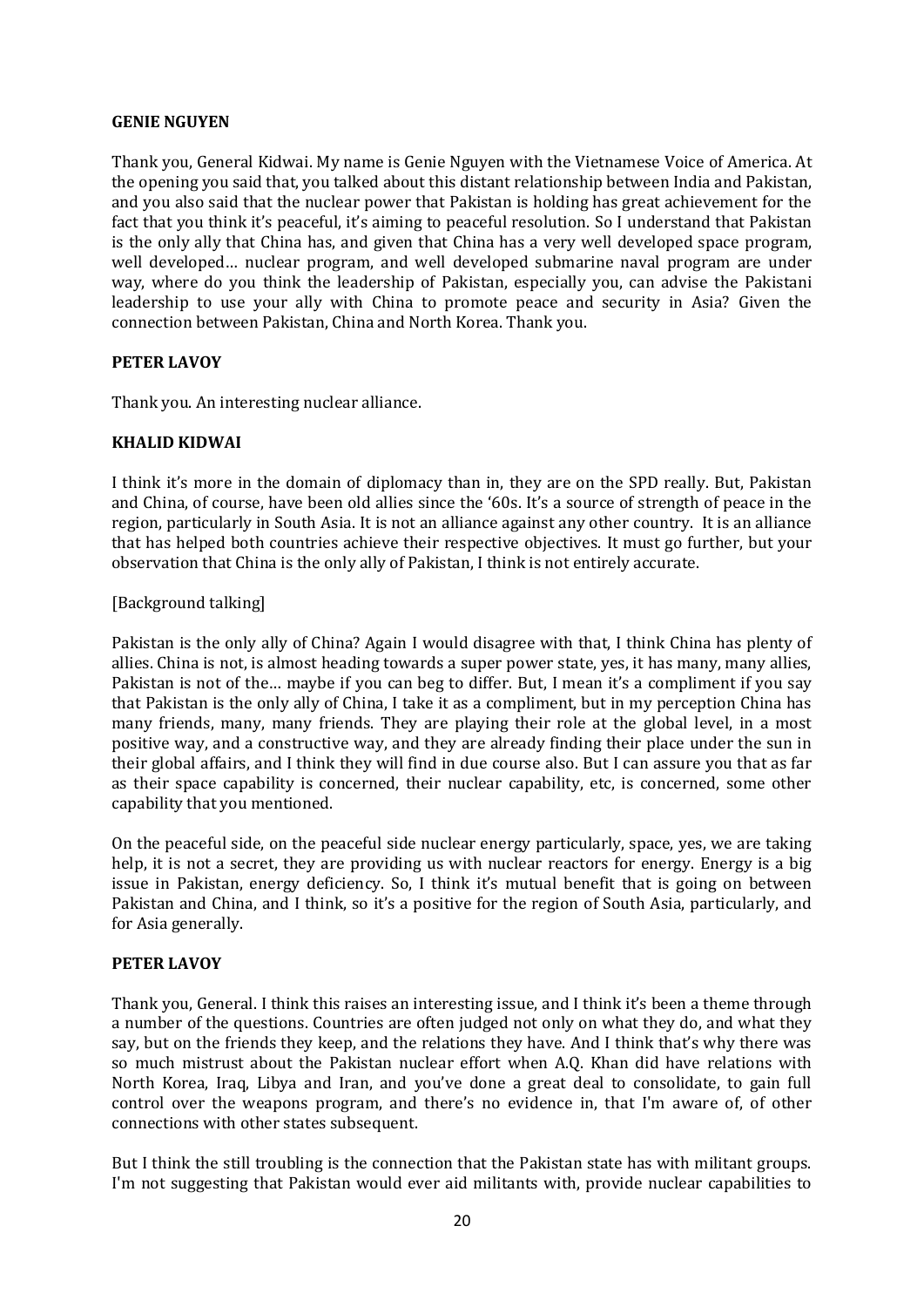### **GENIE NGUYEN**

Thank you, General Kidwai. My name is Genie Nguyen with the Vietnamese Voice of America. At the opening you said that, you talked about this distant relationship between India and Pakistan, and you also said that the nuclear power that Pakistan is holding has great achievement for the fact that you think it's peaceful, it's aiming to peaceful resolution. So I understand that Pakistan is the only ally that China has, and given that China has a very well developed space program, well developed… nuclear program, and well developed submarine naval program are under way, where do you think the leadership of Pakistan, especially you, can advise the Pakistani leadership to use your ally with China to promote peace and security in Asia? Given the connection between Pakistan, China and North Korea. Thank you.

## **PETER LAVOY**

Thank you. An interesting nuclear alliance.

## **KHALID KIDWAI**

I think it's more in the domain of diplomacy than in, they are on the SPD really. But, Pakistan and China, of course, have been old allies since the '60s. It's a source of strength of peace in the region, particularly in South Asia. It is not an alliance against any other country. It is an alliance that has helped both countries achieve their respective objectives. It must go further, but your observation that China is the only ally of Pakistan, I think is not entirely accurate.

## [Background talking]

Pakistan is the only ally of China? Again I would disagree with that, I think China has plenty of allies. China is not, is almost heading towards a super power state, yes, it has many, many allies, Pakistan is not of the... maybe if you can beg to differ. But, I mean it's a compliment if you say that Pakistan is the only ally of China, I take it as a compliment, but in my perception China has many friends, many, many friends. They are playing their role at the global level, in a most positive way, and a constructive way, and they are already finding their place under the sun in their global affairs, and I think they will find in due course also. But I can assure you that as far as their space capability is concerned, their nuclear capability, etc, is concerned, some other capability that you mentioned.

On the peaceful side, on the peaceful side nuclear energy particularly, space, yes, we are taking help, it is not a secret, they are providing us with nuclear reactors for energy. Energy is a big issue in Pakistan, energy deficiency. So, I think it's mutual benefit that is going on between Pakistan and China, and I think, so it's a positive for the region of South Asia, particularly, and for Asia generally.

#### **PETER LAVOY**

Thank you, General. I think this raises an interesting issue, and I think it's been a theme through a number of the questions. Countries are often judged not only on what they do, and what they say, but on the friends they keep, and the relations they have. And I think that's why there was so much mistrust about the Pakistan nuclear effort when A.Q. Khan did have relations with North Korea, Iraq, Libya and Iran, and you've done a great deal to consolidate, to gain full control over the weapons program, and there's no evidence in, that I'm aware of, of other connections with other states subsequent.

But I think the still troubling is the connection that the Pakistan state has with militant groups. I'm not suggesting that Pakistan would ever aid militants with, provide nuclear capabilities to